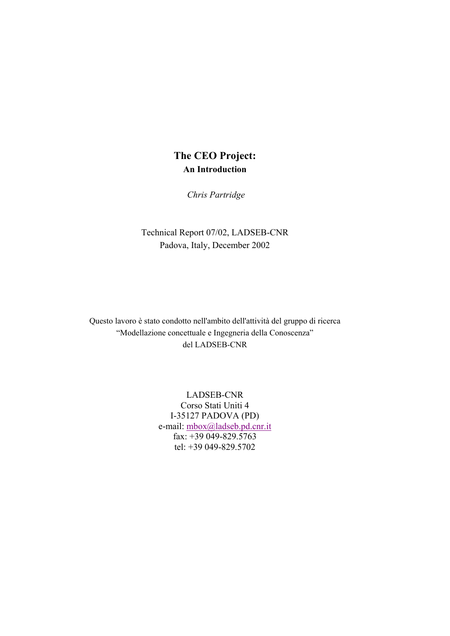*Chris Partridge* 

Technical Report 07/02, LADSEB-CNR Padova, Italy, December 2002

Questo lavoro è stato condotto nell'ambito dell'attività del gruppo di ricerca "Modellazione concettuale e Ingegneria della Conoscenza" del LADSEB-CNR

> LADSEB-CNR Corso Stati Uniti 4 I-35127 PADOVA (PD) e-mail: mbox@ladseb.pd.cnr.it fax: +39 049-829.5763 tel: +39 049-829.5702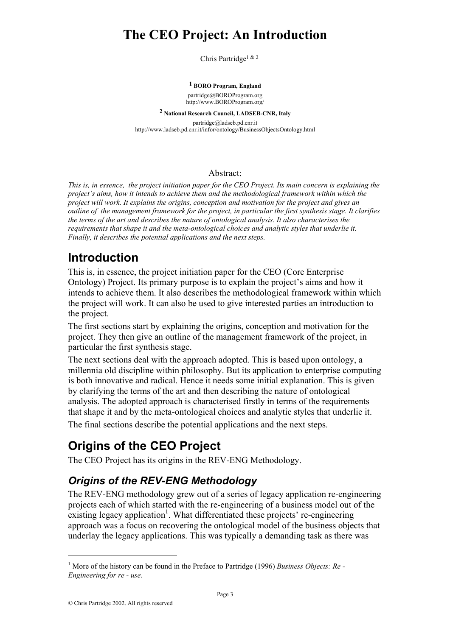Chris Partridge<sup>1 & 2</sup>

#### **1 BORO Program, England**

partridge@BOROProgram.org http://www.BOROProgram.org/

**2 National Research Council, LADSEB-CNR, Italy**  partridge@ladseb.pd.cnr.it

http://www.ladseb.pd.cnr.it/infor/ontology/BusinessObjectsOntology.html

#### Abstract:

*This is, in essence, the project initiation paper for the CEO Project. Its main concern is explaining the project's aims, how it intends to achieve them and the methodological framework within which the project will work. It explains the origins, conception and motivation for the project and gives an outline of the management framework for the project, in particular the first synthesis stage. It clarifies the terms of the art and describes the nature of ontological analysis. It also characterises the requirements that shape it and the meta-ontological choices and analytic styles that underlie it. Finally, it describes the potential applications and the next steps.* 

## **Introduction**

This is, in essence, the project initiation paper for the CEO (Core Enterprise Ontology) Project. Its primary purpose is to explain the project's aims and how it intends to achieve them. It also describes the methodological framework within which the project will work. It can also be used to give interested parties an introduction to the project.

The first sections start by explaining the origins, conception and motivation for the project. They then give an outline of the management framework of the project, in particular the first synthesis stage.

The next sections deal with the approach adopted. This is based upon ontology, a millennia old discipline within philosophy. But its application to enterprise computing is both innovative and radical. Hence it needs some initial explanation. This is given by clarifying the terms of the art and then describing the nature of ontological analysis. The adopted approach is characterised firstly in terms of the requirements that shape it and by the meta-ontological choices and analytic styles that underlie it. The final sections describe the potential applications and the next steps.

# **Origins of the CEO Project**

The CEO Project has its origins in the REV-ENG Methodology.

## *Origins of the REV-ENG Methodology*

The REV-ENG methodology grew out of a series of legacy application re-engineering projects each of which started with the re-engineering of a business model out of the existing legacy application<sup>1</sup>. What differentiated these projects' re-engineering approach was a focus on recovering the ontological model of the business objects that underlay the legacy applications. This was typically a demanding task as there was

<sup>&</sup>lt;sup>1</sup> More of the history can be found in the Preface to Partridge (1996) *Business Objects: Re-Engineering for re - use.*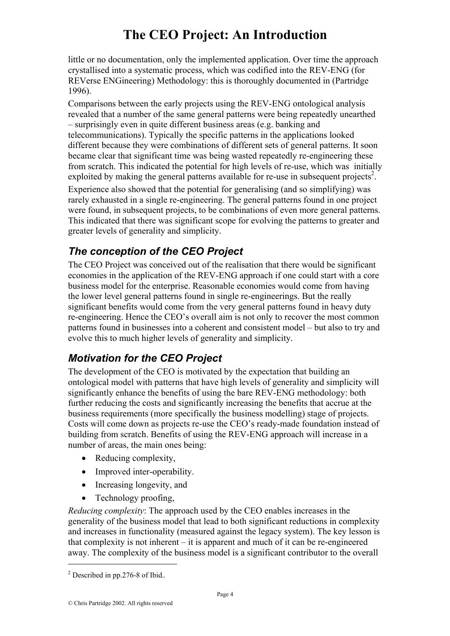little or no documentation, only the implemented application. Over time the approach crystallised into a systematic process, which was codified into the REV-ENG (for REVerse ENGineering) Methodology: this is thoroughly documented in (Partridge 1996).

Comparisons between the early projects using the REV-ENG ontological analysis revealed that a number of the same general patterns were being repeatedly unearthed – surprisingly even in quite different business areas (e.g. banking and telecommunications). Typically the specific patterns in the applications looked different because they were combinations of different sets of general patterns. It soon became clear that significant time was being wasted repeatedly re-engineering these from scratch. This indicated the potential for high levels of re-use, which was initially exploited by making the general patterns available for re-use in subsequent projects<sup>2</sup>.

Experience also showed that the potential for generalising (and so simplifying) was rarely exhausted in a single re-engineering. The general patterns found in one project were found, in subsequent projects, to be combinations of even more general patterns. This indicated that there was significant scope for evolving the patterns to greater and greater levels of generality and simplicity.

## *The conception of the CEO Project*

The CEO Project was conceived out of the realisation that there would be significant economies in the application of the REV-ENG approach if one could start with a core business model for the enterprise. Reasonable economies would come from having the lower level general patterns found in single re-engineerings. But the really significant benefits would come from the very general patterns found in heavy duty re-engineering. Hence the CEO's overall aim is not only to recover the most common patterns found in businesses into a coherent and consistent model – but also to try and evolve this to much higher levels of generality and simplicity.

## *Motivation for the CEO Project*

The development of the CEO is motivated by the expectation that building an ontological model with patterns that have high levels of generality and simplicity will significantly enhance the benefits of using the bare REV-ENG methodology: both further reducing the costs and significantly increasing the benefits that accrue at the business requirements (more specifically the business modelling) stage of projects. Costs will come down as projects re-use the CEO's ready-made foundation instead of building from scratch. Benefits of using the REV-ENG approach will increase in a number of areas, the main ones being:

- Reducing complexity,
- Improved inter-operability.
- Increasing longevity, and
- Technology proofing,

*Reducing complexity*: The approach used by the CEO enables increases in the generality of the business model that lead to both significant reductions in complexity and increases in functionality (measured against the legacy system). The key lesson is that complexity is not inherent – it is apparent and much of it can be re-engineered away. The complexity of the business model is a significant contributor to the overall

<sup>2</sup> Described in pp.276-8 of Ibid.*.*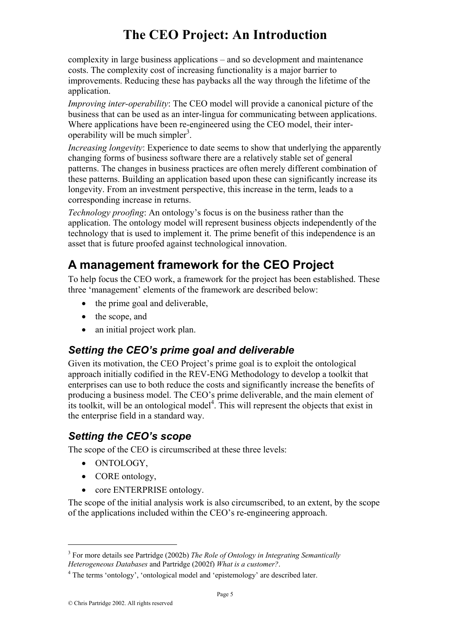complexity in large business applications – and so development and maintenance costs. The complexity cost of increasing functionality is a major barrier to improvements. Reducing these has paybacks all the way through the lifetime of the application.

*Improving inter-operability*: The CEO model will provide a canonical picture of the business that can be used as an inter-lingua for communicating between applications. Where applications have been re-engineered using the CEO model, their interoperability will be much simpler<sup>3</sup>.

*Increasing longevity*: Experience to date seems to show that underlying the apparently changing forms of business software there are a relatively stable set of general patterns. The changes in business practices are often merely different combination of these patterns. Building an application based upon these can significantly increase its longevity. From an investment perspective, this increase in the term, leads to a corresponding increase in returns.

*Technology proofing*: An ontology's focus is on the business rather than the application. The ontology model will represent business objects independently of the technology that is used to implement it. The prime benefit of this independence is an asset that is future proofed against technological innovation.

## **A management framework for the CEO Project**

To help focus the CEO work, a framework for the project has been established. These three 'management' elements of the framework are described below:

- the prime goal and deliverable,
- the scope, and
- an initial project work plan.

### *Setting the CEO's prime goal and deliverable*

Given its motivation, the CEO Project's prime goal is to exploit the ontological approach initially codified in the REV-ENG Methodology to develop a toolkit that enterprises can use to both reduce the costs and significantly increase the benefits of producing a business model. The CEO's prime deliverable, and the main element of its toolkit, will be an ontological model<sup>4</sup>. This will represent the objects that exist in the enterprise field in a standard way.

### *Setting the CEO's scope*

The scope of the CEO is circumscribed at these three levels:

• ONTOLOGY,

 $\overline{a}$ 

- CORE ontology,
- core ENTERPRISE ontology.

The scope of the initial analysis work is also circumscribed, to an extent, by the scope of the applications included within the CEO's re-engineering approach.

<sup>3</sup> For more details see Partridge (2002b) *The Role of Ontology in Integrating Semantically Heterogeneous Databases* and Partridge (2002f) *What is a customer?*.

<sup>&</sup>lt;sup>4</sup> The terms 'ontology', 'ontological model and 'epistemology' are described later.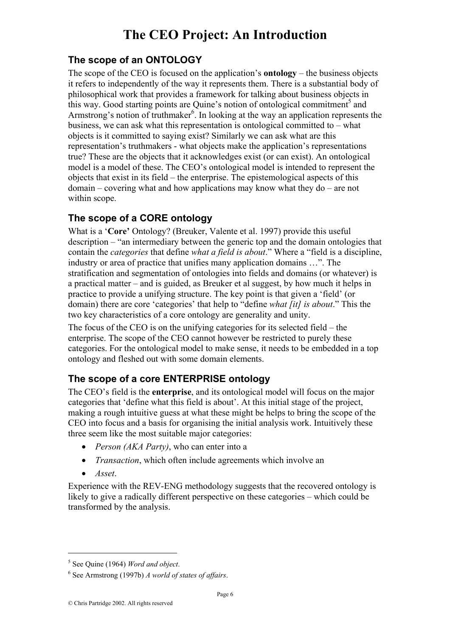### **The scope of an ONTOLOGY**

The scope of the CEO is focused on the application's **ontology** – the business objects it refers to independently of the way it represents them. There is a substantial body of philosophical work that provides a framework for talking about business objects in this way. Good starting points are Quine's notion of ontological commitment<sup>5</sup> and Armstrong's notion of truthmaker<sup>6</sup>. In looking at the way an application represents the business, we can ask what this representation is ontological committed to – what objects is it committed to saying exist? Similarly we can ask what are this representation's truthmakers - what objects make the application's representations true? These are the objects that it acknowledges exist (or can exist). An ontological model is a model of these. The CEO's ontological model is intended to represent the objects that exist in its field – the enterprise. The epistemological aspects of this domain – covering what and how applications may know what they do – are not within scope.

### **The scope of a CORE ontology**

What is a '**Core'** Ontology? (Breuker, Valente et al. 1997) provide this useful description – "an intermediary between the generic top and the domain ontologies that contain the *categories* that define *what a field is about*." Where a "field is a discipline, industry or area of practice that unifies many application domains …". The stratification and segmentation of ontologies into fields and domains (or whatever) is a practical matter – and is guided, as Breuker et al suggest, by how much it helps in practice to provide a unifying structure. The key point is that given a 'field' (or domain) there are core 'categories' that help to "define *what [it] is about*." This the two key characteristics of a core ontology are generality and unity.

The focus of the CEO is on the unifying categories for its selected field – the enterprise. The scope of the CEO cannot however be restricted to purely these categories. For the ontological model to make sense, it needs to be embedded in a top ontology and fleshed out with some domain elements.

### **The scope of a core ENTERPRISE ontology**

The CEO's field is the **enterprise**, and its ontological model will focus on the major categories that 'define what this field is about'. At this initial stage of the project, making a rough intuitive guess at what these might be helps to bring the scope of the CEO into focus and a basis for organising the initial analysis work. Intuitively these three seem like the most suitable major categories:

- *Person (AKA Party)*, who can enter into a
- *Transaction*, which often include agreements which involve an
- *Asset*.

 $\overline{a}$ 

Experience with the REV-ENG methodology suggests that the recovered ontology is likely to give a radically different perspective on these categories – which could be transformed by the analysis.

<sup>5</sup> See Quine (1964) *Word and object*.

<sup>6</sup> See Armstrong (1997b) *A world of states of affairs*.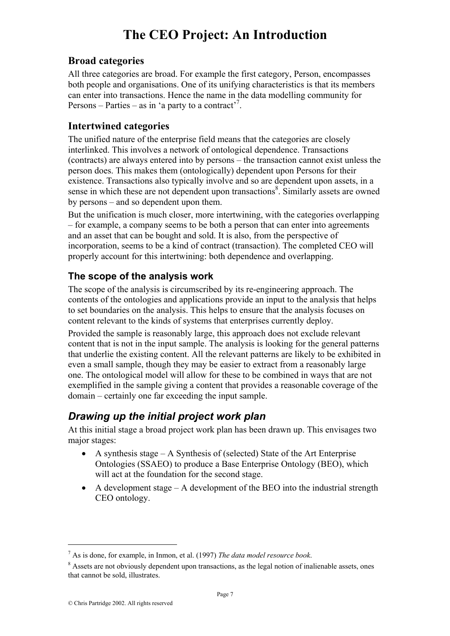#### **Broad categories**

All three categories are broad. For example the first category, Person, encompasses both people and organisations. One of its unifying characteristics is that its members can enter into transactions. Hence the name in the data modelling community for Persons – Parties – as in 'a party to a contract'<sup>7</sup>.

#### **Intertwined categories**

The unified nature of the enterprise field means that the categories are closely interlinked. This involves a network of ontological dependence. Transactions (contracts) are always entered into by persons – the transaction cannot exist unless the person does. This makes them (ontologically) dependent upon Persons for their existence. Transactions also typically involve and so are dependent upon assets, in a sense in which these are not dependent upon transactions<sup>8</sup>. Similarly assets are owned by persons – and so dependent upon them.

But the unification is much closer, more intertwining, with the categories overlapping – for example, a company seems to be both a person that can enter into agreements and an asset that can be bought and sold. It is also, from the perspective of incorporation, seems to be a kind of contract (transaction). The completed CEO will properly account for this intertwining: both dependence and overlapping.

#### **The scope of the analysis work**

The scope of the analysis is circumscribed by its re-engineering approach. The contents of the ontologies and applications provide an input to the analysis that helps to set boundaries on the analysis. This helps to ensure that the analysis focuses on content relevant to the kinds of systems that enterprises currently deploy.

Provided the sample is reasonably large, this approach does not exclude relevant content that is not in the input sample. The analysis is looking for the general patterns that underlie the existing content. All the relevant patterns are likely to be exhibited in even a small sample, though they may be easier to extract from a reasonably large one. The ontological model will allow for these to be combined in ways that are not exemplified in the sample giving a content that provides a reasonable coverage of the domain – certainly one far exceeding the input sample.

## *Drawing up the initial project work plan*

At this initial stage a broad project work plan has been drawn up. This envisages two major stages:

- A synthesis stage A Synthesis of (selected) State of the Art Enterprise Ontologies (SSAEO) to produce a Base Enterprise Ontology (BEO), which will act at the foundation for the second stage.
- A development stage A development of the BEO into the industrial strength CEO ontology.

 $^7$  As is done, for example, in Inmon, et al. (1997) *The data model resource book*.

<sup>&</sup>lt;sup>8</sup> Assets are not obviously dependent upon transactions, as the legal notion of inalienable assets, ones that cannot be sold, illustrates.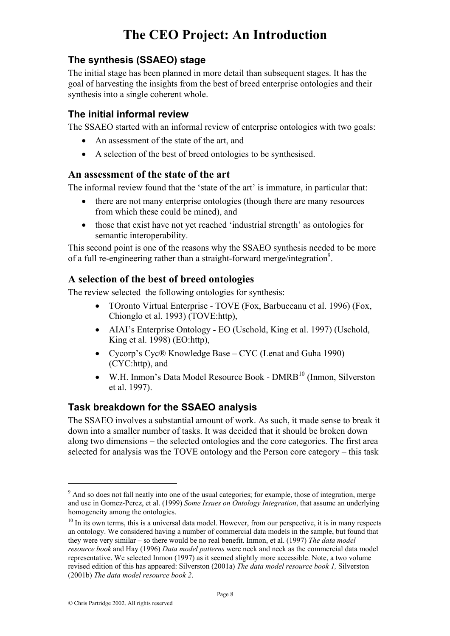#### **The synthesis (SSAEO) stage**

The initial stage has been planned in more detail than subsequent stages. It has the goal of harvesting the insights from the best of breed enterprise ontologies and their synthesis into a single coherent whole.

#### **The initial informal review**

The SSAEO started with an informal review of enterprise ontologies with two goals:

- An assessment of the state of the art, and
- A selection of the best of breed ontologies to be synthesised.

#### **An assessment of the state of the art**

The informal review found that the 'state of the art' is immature, in particular that:

- there are not many enterprise ontologies (though there are many resources from which these could be mined), and
- those that exist have not vet reached 'industrial strength' as ontologies for semantic interoperability.

This second point is one of the reasons why the SSAEO synthesis needed to be more of a full re-engineering rather than a straight-forward merge/integration<sup>9</sup>.

#### **A selection of the best of breed ontologies**

The review selected the following ontologies for synthesis:

- TOronto Virtual Enterprise TOVE (Fox, Barbuceanu et al. 1996) (Fox, Chionglo et al. 1993) (TOVE:http),
- AIAI's Enterprise Ontology EO (Uschold, King et al. 1997) (Uschold, King et al. 1998) (EO:http),
- Cycorp's Cyc® Knowledge Base CYC (Lenat and Guha 1990) (CYC:http), and
- W.H. Inmon's Data Model Resource Book DMRB<sup>10</sup> (Inmon, Silverston et al. 1997).

#### **Task breakdown for the SSAEO analysis**

The SSAEO involves a substantial amount of work. As such, it made sense to break it down into a smaller number of tasks. It was decided that it should be broken down along two dimensions – the selected ontologies and the core categories. The first area selected for analysis was the TOVE ontology and the Person core category – this task

<sup>&</sup>lt;sup>9</sup> And so does not fall neatly into one of the usual categories; for example, those of integration, merge and use in Gomez-Perez, et al. (1999) *Some Issues on Ontology Integration*, that assume an underlying homogeneity among the ontologies.

 $10$  In its own terms, this is a universal data model. However, from our perspective, it is in many respects an ontology. We considered having a number of commercial data models in the sample, but found that they were very similar – so there would be no real benefit. Inmon, et al. (1997) *The data model resource book* and Hay (1996) *Data model patterns* were neck and neck as the commercial data model representative. We selected Inmon (1997) as it seemed slightly more accessible. Note, a two volume revised edition of this has appeared: Silverston (2001a) *The data model resource book 1,* Silverston (2001b) *The data model resource book 2*.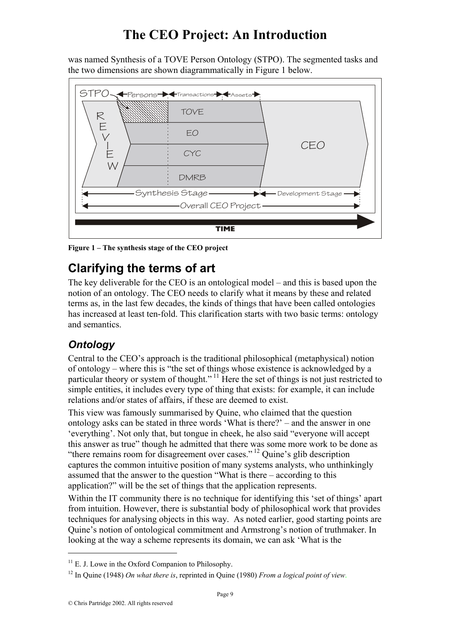was named Synthesis of a TOVE Person Ontology (STPO). The segmented tasks and the two dimensions are shown diagrammatically in Figure 1 below.



**Figure 1 – The synthesis stage of the CEO project** 

## **Clarifying the terms of art**

The key deliverable for the CEO is an ontological model – and this is based upon the notion of an ontology. The CEO needs to clarify what it means by these and related terms as, in the last few decades, the kinds of things that have been called ontologies has increased at least ten-fold. This clarification starts with two basic terms: ontology and semantics.

## *Ontology*

Central to the CEO's approach is the traditional philosophical (metaphysical) notion of ontology – where this is "the set of things whose existence is acknowledged by a particular theory or system of thought."<sup>11</sup> Here the set of things is not just restricted to simple entities, it includes every type of thing that exists: for example, it can include relations and/or states of affairs, if these are deemed to exist.

This view was famously summarised by Quine, who claimed that the question ontology asks can be stated in three words 'What is there?' – and the answer in one 'everything'. Not only that, but tongue in cheek, he also said "everyone will accept this answer as true" though he admitted that there was some more work to be done as "there remains room for disagreement over cases." <sup>12</sup> Quine's glib description captures the common intuitive position of many systems analysts, who unthinkingly assumed that the answer to the question "What is there – according to this application?" will be the set of things that the application represents.

Within the IT community there is no technique for identifying this 'set of things' apart from intuition. However, there is substantial body of philosophical work that provides techniques for analysing objects in this way. As noted earlier, good starting points are Quine's notion of ontological commitment and Armstrong's notion of truthmaker. In looking at the way a scheme represents its domain, we can ask 'What is the

 $11$  E. J. Lowe in the Oxford Companion to Philosophy.

<sup>12</sup> In Quine (1948) *On what there is*, reprinted in Quine (1980) *From a logical point of view*.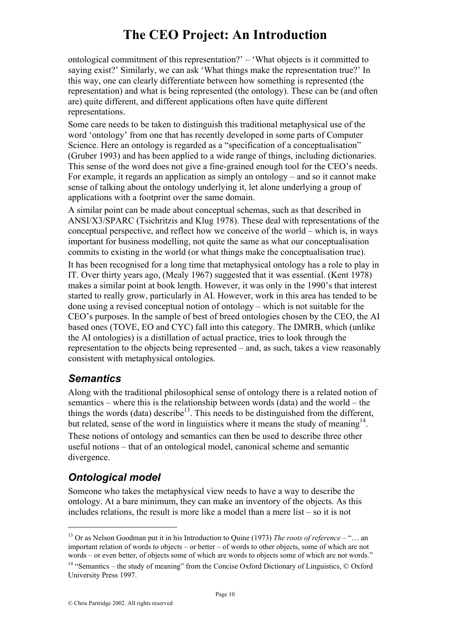ontological commitment of this representation?' – 'What objects is it committed to saying exist?' Similarly, we can ask 'What things make the representation true?' In this way, one can clearly differentiate between how something is represented (the representation) and what is being represented (the ontology). These can be (and often are) quite different, and different applications often have quite different representations.

Some care needs to be taken to distinguish this traditional metaphysical use of the word 'ontology' from one that has recently developed in some parts of Computer Science. Here an ontology is regarded as a "specification of a conceptualisation" (Gruber 1993) and has been applied to a wide range of things, including dictionaries. This sense of the word does not give a fine-grained enough tool for the CEO's needs. For example, it regards an application as simply an ontology – and so it cannot make sense of talking about the ontology underlying it, let alone underlying a group of applications with a footprint over the same domain.

A similar point can be made about conceptual schemas, such as that described in ANSI/X3/SPARC (Tsichritzis and Klug 1978). These deal with representations of the conceptual perspective, and reflect how we conceive of the world – which is, in ways important for business modelling, not quite the same as what our conceptualisation commits to existing in the world (or what things make the conceptualisation true).

It has been recognised for a long time that metaphysical ontology has a role to play in IT. Over thirty years ago, (Mealy 1967) suggested that it was essential. (Kent 1978) makes a similar point at book length. However, it was only in the 1990's that interest started to really grow, particularly in AI. However, work in this area has tended to be done using a revised conceptual notion of ontology – which is not suitable for the CEO's purposes. In the sample of best of breed ontologies chosen by the CEO, the AI based ones (TOVE, EO and CYC) fall into this category. The DMRB, which (unlike the AI ontologies) is a distillation of actual practice, tries to look through the representation to the objects being represented – and, as such, takes a view reasonably consistent with metaphysical ontologies.

### *Semantics*

Along with the traditional philosophical sense of ontology there is a related notion of semantics – where this is the relationship between words (data) and the world – the things the words (data) describe<sup>13</sup>. This needs to be distinguished from the different, but related, sense of the word in linguistics where it means the study of meaning  $14$ .

These notions of ontology and semantics can then be used to describe three other useful notions – that of an ontological model, canonical scheme and semantic divergence.

## *Ontological model*

 $\overline{a}$ 

Someone who takes the metaphysical view needs to have a way to describe the ontology. At a bare minimum, they can make an inventory of the objects. As this includes relations, the result is more like a model than a mere list – so it is not

<sup>13</sup> Or as Nelson Goodman put it in his Introduction to Quine (1973) *The roots of reference* – "… an important relation of words to objects – or better – of words to other objects, some of which are not words – or even better, of objects some of which are words to objects some of which are not words." 14 "Semantics – the study of meaning" from the Concise Oxford Dictionary of Linguistics, © Oxford University Press 1997.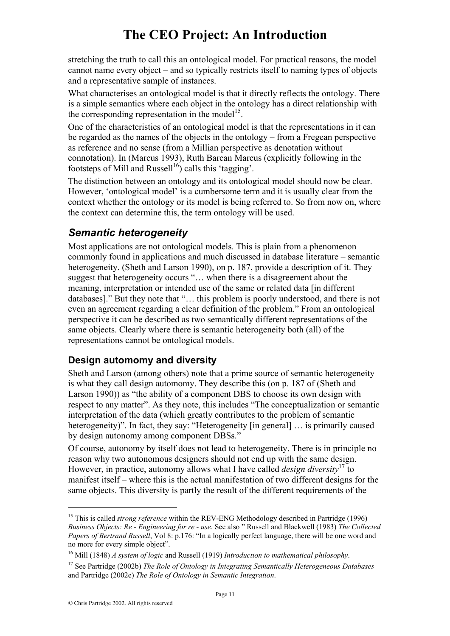stretching the truth to call this an ontological model. For practical reasons, the model cannot name every object – and so typically restricts itself to naming types of objects and a representative sample of instances.

What characterises an ontological model is that it directly reflects the ontology. There is a simple semantics where each object in the ontology has a direct relationship with the corresponding representation in the model<sup>15</sup>.

One of the characteristics of an ontological model is that the representations in it can be regarded as the names of the objects in the ontology – from a Fregean perspective as reference and no sense (from a Millian perspective as denotation without connotation). In (Marcus 1993), Ruth Barcan Marcus (explicitly following in the footsteps of Mill and Russell<sup>16</sup>) calls this 'tagging'.

The distinction between an ontology and its ontological model should now be clear. However, 'ontological model' is a cumbersome term and it is usually clear from the context whether the ontology or its model is being referred to. So from now on, where the context can determine this, the term ontology will be used.

## *Semantic heterogeneity*

Most applications are not ontological models. This is plain from a phenomenon commonly found in applications and much discussed in database literature – semantic heterogeneity. (Sheth and Larson 1990), on p. 187, provide a description of it. They suggest that heterogeneity occurs "… when there is a disagreement about the meaning, interpretation or intended use of the same or related data [in different databases]." But they note that "… this problem is poorly understood, and there is not even an agreement regarding a clear definition of the problem." From an ontological perspective it can be described as two semantically different representations of the same objects. Clearly where there is semantic heterogeneity both (all) of the representations cannot be ontological models.

#### **Design automomy and diversity**

Sheth and Larson (among others) note that a prime source of semantic heterogeneity is what they call design automomy. They describe this (on p. 187 of (Sheth and Larson 1990)) as "the ability of a component DBS to choose its own design with respect to any matter". As they note, this includes "The conceptualization or semantic interpretation of the data (which greatly contributes to the problem of semantic heterogeneity)". In fact, they say: "Heterogeneity [in general] ... is primarily caused by design autonomy among component DBSs."

Of course, autonomy by itself does not lead to heterogeneity. There is in principle no reason why two autonomous designers should not end up with the same design. However, in practice, autonomy allows what I have called *design diversity*17 to manifest itself – where this is the actual manifestation of two different designs for the same objects. This diversity is partly the result of the different requirements of the

<sup>&</sup>lt;sup>15</sup> This is called *strong reference* within the REV-ENG Methodology described in Partridge (1996) *Business Objects: Re - Engineering for re - use*. See also " Russell and Blackwell (1983) *The Collected Papers of Bertrand Russell*, Vol 8: p.176: "In a logically perfect language, there will be one word and no more for every simple object".

<sup>&</sup>lt;sup>16</sup> Mill (1848) *A system of logic* and Russell (1919) *Introduction to mathematical philosophy*.<br><sup>17</sup> See Partridge (2002b) *The Role of Ontology in Integrating Semantically Heterogeneous Databases* 

and Partridge (2002e) *The Role of Ontology in Semantic Integration*.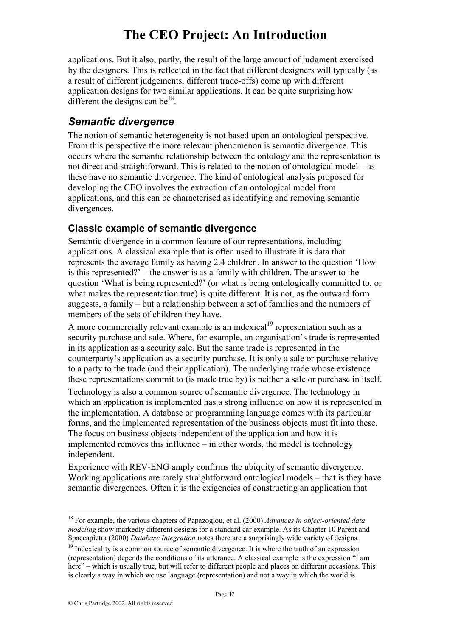applications. But it also, partly, the result of the large amount of judgment exercised by the designers. This is reflected in the fact that different designers will typically (as a result of different judgements, different trade-offs) come up with different application designs for two similar applications. It can be quite surprising how different the designs can be<sup>18</sup>.

#### *Semantic divergence*

The notion of semantic heterogeneity is not based upon an ontological perspective. From this perspective the more relevant phenomenon is semantic divergence. This occurs where the semantic relationship between the ontology and the representation is not direct and straightforward. This is related to the notion of ontological model – as these have no semantic divergence. The kind of ontological analysis proposed for developing the CEO involves the extraction of an ontological model from applications, and this can be characterised as identifying and removing semantic divergences.

#### **Classic example of semantic divergence**

Semantic divergence in a common feature of our representations, including applications. A classical example that is often used to illustrate it is data that represents the average family as having 2.4 children. In answer to the question 'How is this represented?' – the answer is as a family with children. The answer to the question 'What is being represented?' (or what is being ontologically committed to, or what makes the representation true) is quite different. It is not, as the outward form suggests, a family – but a relationship between a set of families and the numbers of members of the sets of children they have.

A more commercially relevant example is an indexical<sup>19</sup> representation such as a security purchase and sale. Where, for example, an organisation's trade is represented in its application as a security sale. But the same trade is represented in the counterparty's application as a security purchase. It is only a sale or purchase relative to a party to the trade (and their application). The underlying trade whose existence these representations commit to (is made true by) is neither a sale or purchase in itself.

Technology is also a common source of semantic divergence. The technology in which an application is implemented has a strong influence on how it is represented in the implementation. A database or programming language comes with its particular forms, and the implemented representation of the business objects must fit into these. The focus on business objects independent of the application and how it is implemented removes this influence – in other words, the model is technology independent.

Experience with REV-ENG amply confirms the ubiquity of semantic divergence. Working applications are rarely straightforward ontological models – that is they have semantic divergences. Often it is the exigencies of constructing an application that

<sup>18</sup> For example, the various chapters of Papazoglou, et al. (2000) *Advances in object-oriented data modeling* show markedly different designs for a standard car example. As its Chapter 10 Parent and Spaccapietra (2000) *Database Integration* notes there are a surprisingly wide variety of designs.

<sup>&</sup>lt;sup>19</sup> Indexicality is a common source of semantic divergence. It is where the truth of an expression (representation) depends the conditions of its utterance. A classical example is the expression "I am here" – which is usually true, but will refer to different people and places on different occasions. This is clearly a way in which we use language (representation) and not a way in which the world is.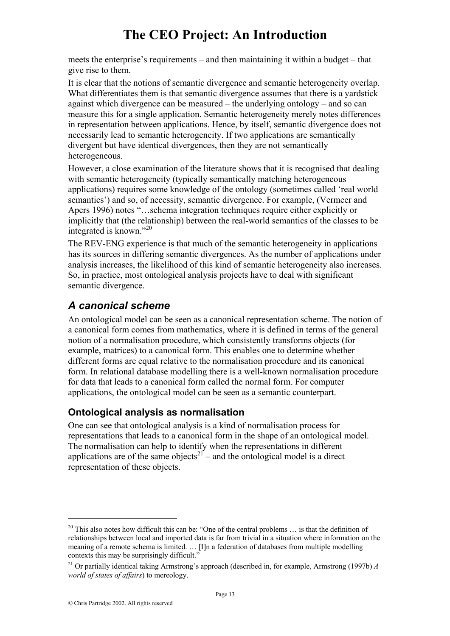meets the enterprise's requirements – and then maintaining it within a budget – that give rise to them.

It is clear that the notions of semantic divergence and semantic heterogeneity overlap. What differentiates them is that semantic divergence assumes that there is a yardstick against which divergence can be measured – the underlying ontology – and so can measure this for a single application. Semantic heterogeneity merely notes differences in representation between applications. Hence, by itself, semantic divergence does not necessarily lead to semantic heterogeneity. If two applications are semantically divergent but have identical divergences, then they are not semantically heterogeneous.

However, a close examination of the literature shows that it is recognised that dealing with semantic heterogeneity (typically semantically matching heterogeneous applications) requires some knowledge of the ontology (sometimes called 'real world semantics') and so, of necessity, semantic divergence. For example, (Vermeer and Apers 1996) notes "…schema integration techniques require either explicitly or implicitly that (the relationship) between the real-world semantics of the classes to be integrated is known."<sup>20</sup>

The REV-ENG experience is that much of the semantic heterogeneity in applications has its sources in differing semantic divergences. As the number of applications under analysis increases, the likelihood of this kind of semantic heterogeneity also increases. So, in practice, most ontological analysis projects have to deal with significant semantic divergence.

## *A canonical scheme*

An ontological model can be seen as a canonical representation scheme. The notion of a canonical form comes from mathematics, where it is defined in terms of the general notion of a normalisation procedure, which consistently transforms objects (for example, matrices) to a canonical form. This enables one to determine whether different forms are equal relative to the normalisation procedure and its canonical form. In relational database modelling there is a well-known normalisation procedure for data that leads to a canonical form called the normal form. For computer applications, the ontological model can be seen as a semantic counterpart.

#### **Ontological analysis as normalisation**

One can see that ontological analysis is a kind of normalisation process for representations that leads to a canonical form in the shape of an ontological model. The normalisation can help to identify when the representations in different applications are of the same objects<sup>21'</sup> – and the ontological model is a direct representation of these objects.

<sup>&</sup>lt;sup>20</sup> This also notes how difficult this can be: "One of the central problems ... is that the definition of relationships between local and imported data is far from trivial in a situation where information on the meaning of a remote schema is limited. … [I]n a federation of databases from multiple modelling contexts this may be surprisingly difficult."

<sup>&</sup>lt;sup>21</sup> Or nartially identical taking Armstrong's approach (described in, for example, Armstrong (1997b)  $\hat{A}$ *world of states of affairs*) to mereology.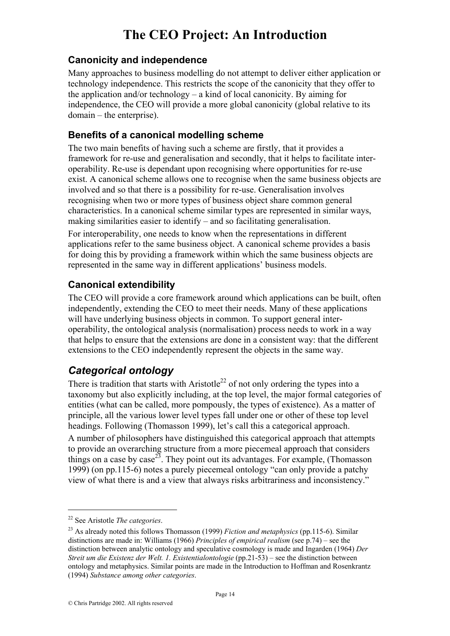#### **Canonicity and independence**

Many approaches to business modelling do not attempt to deliver either application or technology independence. This restricts the scope of the canonicity that they offer to the application and/or technology – a kind of local canonicity. By aiming for independence, the CEO will provide a more global canonicity (global relative to its domain – the enterprise).

#### **Benefits of a canonical modelling scheme**

The two main benefits of having such a scheme are firstly, that it provides a framework for re-use and generalisation and secondly, that it helps to facilitate interoperability. Re-use is dependant upon recognising where opportunities for re-use exist. A canonical scheme allows one to recognise when the same business objects are involved and so that there is a possibility for re-use. Generalisation involves recognising when two or more types of business object share common general characteristics. In a canonical scheme similar types are represented in similar ways, making similarities easier to identify – and so facilitating generalisation.

For interoperability, one needs to know when the representations in different applications refer to the same business object. A canonical scheme provides a basis for doing this by providing a framework within which the same business objects are represented in the same way in different applications' business models.

#### **Canonical extendibility**

The CEO will provide a core framework around which applications can be built, often independently, extending the CEO to meet their needs. Many of these applications will have underlying business objects in common. To support general interoperability, the ontological analysis (normalisation) process needs to work in a way that helps to ensure that the extensions are done in a consistent way: that the different extensions to the CEO independently represent the objects in the same way.

### *Categorical ontology*

There is tradition that starts with Aristotle<sup>22</sup> of not only ordering the types into a taxonomy but also explicitly including, at the top level, the major formal categories of entities (what can be called, more pompously, the types of existence). As a matter of principle, all the various lower level types fall under one or other of these top level headings. Following (Thomasson 1999), let's call this a categorical approach.

A number of philosophers have distinguished this categorical approach that attempts to provide an overarching structure from a more piecemeal approach that considers things on a case by case<sup>23</sup>. They point out its advantages. For example, (Thomasson 1999) (on pp.115-6) notes a purely piecemeal ontology "can only provide a patchy view of what there is and a view that always risks arbitrariness and inconsistency."

<sup>22</sup> See Aristotle *The categories*.

<sup>23</sup> As already noted this follows Thomasson (1999) *Fiction and metaphysics* (pp.115-6). Similar distinctions are made in: Williams (1966) *Principles of empirical realism* (see p.74) – see the distinction between analytic ontology and speculative cosmology is made and Ingarden (1964) *Der Streit um die Existenz der Welt. 1. Existentialontologie* (pp.21-53) – see the distinction between ontology and metaphysics. Similar points are made in the Introduction to Hoffman and Rosenkrantz (1994) *Substance among other categories*.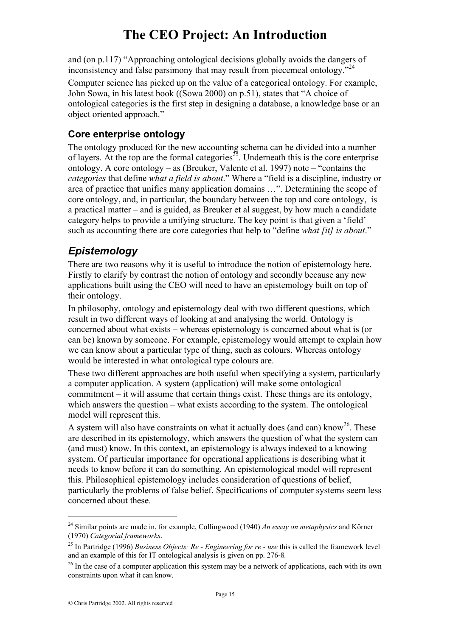and (on p.117) "Approaching ontological decisions globally avoids the dangers of inconsistency and false parsimony that may result from piecemeal ontology."<sup>24</sup>

Computer science has picked up on the value of a categorical ontology. For example, John Sowa, in his latest book ((Sowa 2000) on p.51), states that "A choice of ontological categories is the first step in designing a database, a knowledge base or an object oriented approach."

#### **Core enterprise ontology**

The ontology produced for the new accounting schema can be divided into a number of layers. At the top are the formal categories<sup>25</sup>. Underneath this is the core enterprise ontology. A core ontology – as (Breuker, Valente et al. 1997) note – "contains the *categories* that define *what a field is about*." Where a "field is a discipline, industry or area of practice that unifies many application domains …". Determining the scope of core ontology, and, in particular, the boundary between the top and core ontology, is a practical matter – and is guided, as Breuker et al suggest, by how much a candidate category helps to provide a unifying structure. The key point is that given a 'field' such as accounting there are core categories that help to "define *what [it] is about*."

## *Epistemology*

There are two reasons why it is useful to introduce the notion of epistemology here. Firstly to clarify by contrast the notion of ontology and secondly because any new applications built using the CEO will need to have an epistemology built on top of their ontology.

In philosophy, ontology and epistemology deal with two different questions, which result in two different ways of looking at and analysing the world. Ontology is concerned about what exists – whereas epistemology is concerned about what is (or can be) known by someone. For example, epistemology would attempt to explain how we can know about a particular type of thing, such as colours. Whereas ontology would be interested in what ontological type colours are.

These two different approaches are both useful when specifying a system, particularly a computer application. A system (application) will make some ontological commitment – it will assume that certain things exist. These things are its ontology, which answers the question – what exists according to the system. The ontological model will represent this.

A system will also have constraints on what it actually does (and can) know<sup>26</sup>. These are described in its epistemology, which answers the question of what the system can (and must) know. In this context, an epistemology is always indexed to a knowing system. Of particular importance for operational applications is describing what it needs to know before it can do something. An epistemological model will represent this. Philosophical epistemology includes consideration of questions of belief, particularly the problems of false belief. Specifications of computer systems seem less concerned about these.

<sup>24</sup> Similar points are made in, for example, Collingwood (1940) *An essay on metaphysics* and Körner (1970) *Categorial frameworks*.

<sup>25</sup> In Partridge (1996) *Business Objects: Re - Engineering for re - use* this is called the framework level and an example of this for IT ontological analysis is given on pp. 276-8*.*

<sup>&</sup>lt;sup>26</sup> In the case of a computer application this system may be a network of applications, each with its own constraints upon what it can know.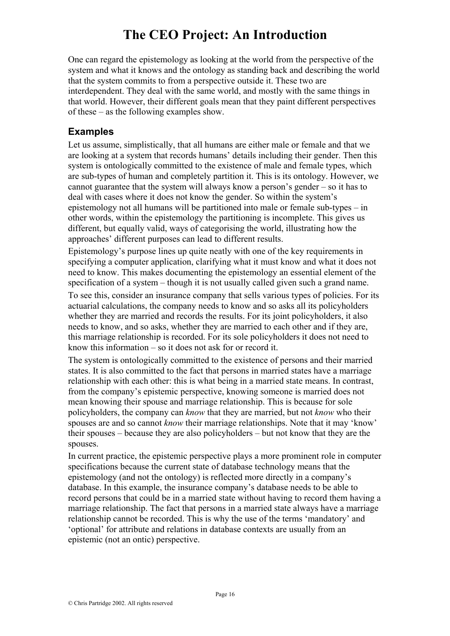One can regard the epistemology as looking at the world from the perspective of the system and what it knows and the ontology as standing back and describing the world that the system commits to from a perspective outside it. These two are interdependent. They deal with the same world, and mostly with the same things in that world. However, their different goals mean that they paint different perspectives of these – as the following examples show.

#### **Examples**

Let us assume, simplistically, that all humans are either male or female and that we are looking at a system that records humans' details including their gender. Then this system is ontologically committed to the existence of male and female types, which are sub-types of human and completely partition it. This is its ontology. However, we cannot guarantee that the system will always know a person's gender – so it has to deal with cases where it does not know the gender. So within the system's epistemology not all humans will be partitioned into male or female sub-types – in other words, within the epistemology the partitioning is incomplete. This gives us different, but equally valid, ways of categorising the world, illustrating how the approaches' different purposes can lead to different results.

Epistemology's purpose lines up quite neatly with one of the key requirements in specifying a computer application, clarifying what it must know and what it does not need to know. This makes documenting the epistemology an essential element of the specification of a system – though it is not usually called given such a grand name.

To see this, consider an insurance company that sells various types of policies. For its actuarial calculations, the company needs to know and so asks all its policyholders whether they are married and records the results. For its joint policyholders, it also needs to know, and so asks, whether they are married to each other and if they are, this marriage relationship is recorded. For its sole policyholders it does not need to know this information – so it does not ask for or record it.

The system is ontologically committed to the existence of persons and their married states. It is also committed to the fact that persons in married states have a marriage relationship with each other: this is what being in a married state means. In contrast, from the company's epistemic perspective, knowing someone is married does not mean knowing their spouse and marriage relationship. This is because for sole policyholders, the company can *know* that they are married, but not *know* who their spouses are and so cannot *know* their marriage relationships. Note that it may 'know' their spouses – because they are also policyholders – but not know that they are the spouses.

In current practice, the epistemic perspective plays a more prominent role in computer specifications because the current state of database technology means that the epistemology (and not the ontology) is reflected more directly in a company's database. In this example, the insurance company's database needs to be able to record persons that could be in a married state without having to record them having a marriage relationship. The fact that persons in a married state always have a marriage relationship cannot be recorded. This is why the use of the terms 'mandatory' and 'optional' for attribute and relations in database contexts are usually from an epistemic (not an ontic) perspective.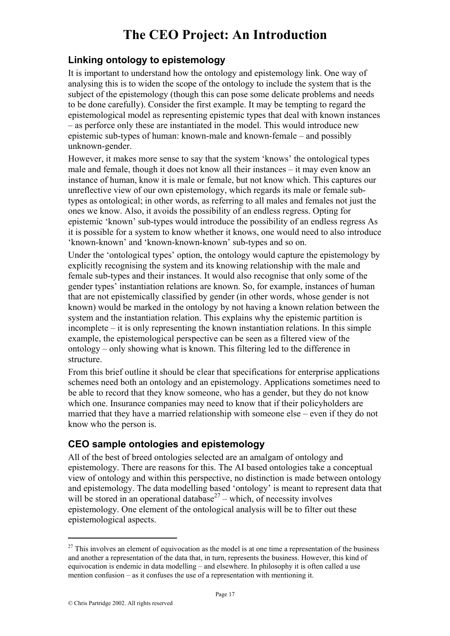#### **Linking ontology to epistemology**

It is important to understand how the ontology and epistemology link. One way of analysing this is to widen the scope of the ontology to include the system that is the subject of the epistemology (though this can pose some delicate problems and needs to be done carefully). Consider the first example. It may be tempting to regard the epistemological model as representing epistemic types that deal with known instances – as perforce only these are instantiated in the model. This would introduce new epistemic sub-types of human: known-male and known-female – and possibly unknown-gender.

However, it makes more sense to say that the system 'knows' the ontological types male and female, though it does not know all their instances – it may even know an instance of human, know it is male or female, but not know which. This captures our unreflective view of our own epistemology, which regards its male or female subtypes as ontological; in other words, as referring to all males and females not just the ones we know. Also, it avoids the possibility of an endless regress. Opting for epistemic 'known' sub-types would introduce the possibility of an endless regress As it is possible for a system to know whether it knows, one would need to also introduce 'known-known' and 'known-known-known' sub-types and so on.

Under the 'ontological types' option, the ontology would capture the epistemology by explicitly recognising the system and its knowing relationship with the male and female sub-types and their instances. It would also recognise that only some of the gender types' instantiation relations are known. So, for example, instances of human that are not epistemically classified by gender (in other words, whose gender is not known) would be marked in the ontology by not having a known relation between the system and the instantiation relation. This explains why the epistemic partition is incomplete – it is only representing the known instantiation relations. In this simple example, the epistemological perspective can be seen as a filtered view of the ontology – only showing what is known. This filtering led to the difference in structure.

From this brief outline it should be clear that specifications for enterprise applications schemes need both an ontology and an epistemology. Applications sometimes need to be able to record that they know someone, who has a gender, but they do not know which one. Insurance companies may need to know that if their policyholders are married that they have a married relationship with someone else – even if they do not know who the person is.

#### **CEO sample ontologies and epistemology**

All of the best of breed ontologies selected are an amalgam of ontology and epistemology. There are reasons for this. The AI based ontologies take a conceptual view of ontology and within this perspective, no distinction is made between ontology and epistemology. The data modelling based 'ontology' is meant to represent data that will be stored in an operational database<sup>27</sup> – which, of necessity involves epistemology. One element of the ontological analysis will be to filter out these epistemological aspects.

 $27$  This involves an element of equivocation as the model is at one time a representation of the business and another a representation of the data that, in turn, represents the business. However, this kind of equivocation is endemic in data modelling – and elsewhere. In philosophy it is often called a use mention confusion – as it confuses the use of a representation with mentioning it.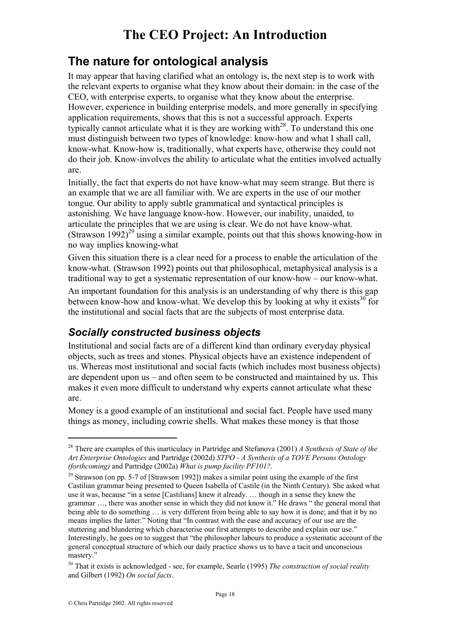## **The nature for ontological analysis**

It may appear that having clarified what an ontology is, the next step is to work with the relevant experts to organise what they know about their domain: in the case of the CEO, with enterprise experts, to organise what they know about the enterprise. However, experience in building enterprise models, and more generally in specifying application requirements, shows that this is not a successful approach. Experts typically cannot articulate what it is they are working with $^{28}$ . To understand this one must distinguish between two types of knowledge: know-how and what I shall call, know-what. Know-how is, traditionally, what experts have, otherwise they could not do their job. Know-involves the ability to articulate what the entities involved actually are.

Initially, the fact that experts do not have know-what may seem strange. But there is an example that we are all familiar with. We are experts in the use of our mother tongue. Our ability to apply subtle grammatical and syntactical principles is astonishing. We have language know-how. However, our inability, unaided, to articulate the principles that we are using is clear. We do not have know-what. (Strawson  $1992$ )<sup>29</sup> using a similar example, points out that this shows knowing-how in no way implies knowing-what

Given this situation there is a clear need for a process to enable the articulation of the know-what. (Strawson 1992) points out that philosophical, metaphysical analysis is a traditional way to get a systematic representation of our know-how – our know-what.

An important foundation for this analysis is an understanding of why there is this gap between know-how and know-what. We develop this by looking at why it exists  $30^{\circ}$  for the institutional and social facts that are the subjects of most enterprise data.

## *Socially constructed business objects*

Institutional and social facts are of a different kind than ordinary everyday physical objects, such as trees and stones. Physical objects have an existence independent of us. Whereas most institutional and social facts (which includes most business objects) are dependent upon us – and often seem to be constructed and maintained by us. This makes it even more difficult to understand why experts cannot articulate what these are.

Money is a good example of an institutional and social fact. People have used many things as money, including cowrie shells. What makes these money is that those

<sup>28</sup> There are examples of this inarticulacy in Partridge and Stefanova (2001) *A Synthesis of State of the Art Enterprise Ontologies* and Partridge (2002d) *STPO - A Synthesis of a TOVE Persons Ontology (forthcoming)* and Partridge (2002a) *What is pump facility PF101?*.

 $29$  Strawson (on pp. 5-7 of [Strawson 1992]) makes a similar point using the example of the first Castilian grammar being presented to Queen Isabella of Castile (in the Ninth Century). She asked what use it was, because "in a sense [Castilians] knew it already. … though in a sense they knew the grammar …, there was another sense in which they did not know it." He draws " the general moral that being able to do something … is very different from being able to say how it is done; and that it by no means implies the latter." Noting that "In contrast with the ease and accuracy of our use are the stuttering and blundering which characterise our first attempts to describe and explain our use." Interestingly, he goes on to suggest that "the philosopher labours to produce a systematic account of the general conceptual structure of which our daily practice shows us to have a tacit and unconscious mastery."

<sup>30</sup> That it exists is acknowledged - see, for example, Searle (1995) *The construction of social reality* and Gilbert (1992) *On social facts*.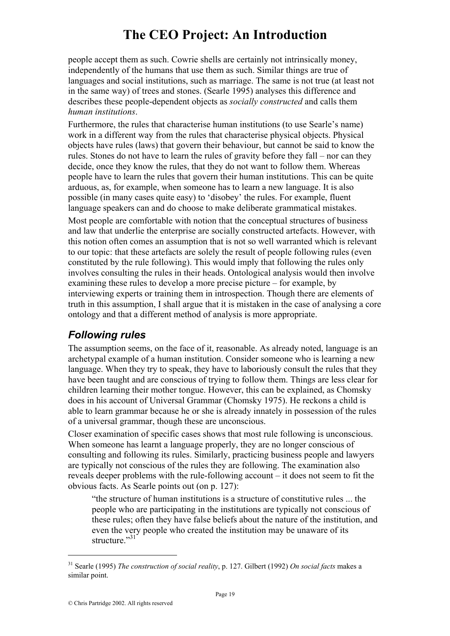people accept them as such. Cowrie shells are certainly not intrinsically money, independently of the humans that use them as such. Similar things are true of languages and social institutions, such as marriage. The same is not true (at least not in the same way) of trees and stones. (Searle 1995) analyses this difference and describes these people-dependent objects as *socially constructed* and calls them *human institutions*.

Furthermore, the rules that characterise human institutions (to use Searle's name) work in a different way from the rules that characterise physical objects. Physical objects have rules (laws) that govern their behaviour, but cannot be said to know the rules. Stones do not have to learn the rules of gravity before they fall – nor can they decide, once they know the rules, that they do not want to follow them. Whereas people have to learn the rules that govern their human institutions. This can be quite arduous, as, for example, when someone has to learn a new language. It is also possible (in many cases quite easy) to 'disobey' the rules. For example, fluent language speakers can and do choose to make deliberate grammatical mistakes.

Most people are comfortable with notion that the conceptual structures of business and law that underlie the enterprise are socially constructed artefacts. However, with this notion often comes an assumption that is not so well warranted which is relevant to our topic: that these artefacts are solely the result of people following rules (even constituted by the rule following). This would imply that following the rules only involves consulting the rules in their heads. Ontological analysis would then involve examining these rules to develop a more precise picture – for example, by interviewing experts or training them in introspection. Though there are elements of truth in this assumption, I shall argue that it is mistaken in the case of analysing a core ontology and that a different method of analysis is more appropriate.

## *Following rules*

The assumption seems, on the face of it, reasonable. As already noted, language is an archetypal example of a human institution. Consider someone who is learning a new language. When they try to speak, they have to laboriously consult the rules that they have been taught and are conscious of trying to follow them. Things are less clear for children learning their mother tongue. However, this can be explained, as Chomsky does in his account of Universal Grammar (Chomsky 1975). He reckons a child is able to learn grammar because he or she is already innately in possession of the rules of a universal grammar, though these are unconscious.

Closer examination of specific cases shows that most rule following is unconscious. When someone has learnt a language properly, they are no longer conscious of consulting and following its rules. Similarly, practicing business people and lawyers are typically not conscious of the rules they are following. The examination also reveals deeper problems with the rule-following account – it does not seem to fit the obvious facts. As Searle points out (on p. 127):

"the structure of human institutions is a structure of constitutive rules ... the people who are participating in the institutions are typically not conscious of these rules; often they have false beliefs about the nature of the institution, and even the very people who created the institution may be unaware of its structure."<sup>31</sup>

<sup>31</sup> Searle (1995) *The construction of social reality*, p. 127. Gilbert (1992) *On social facts* makes a similar point.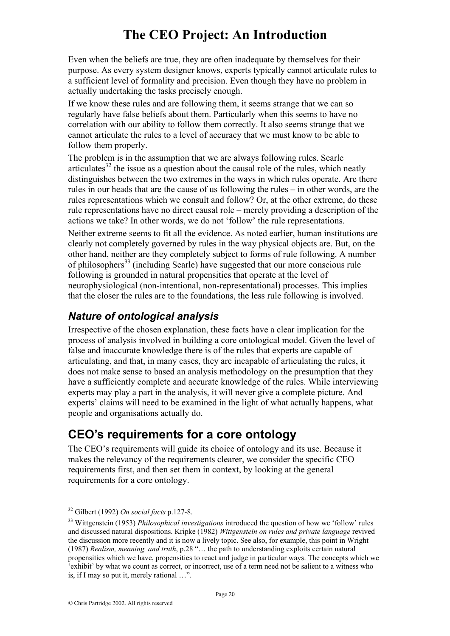Even when the beliefs are true, they are often inadequate by themselves for their purpose. As every system designer knows, experts typically cannot articulate rules to a sufficient level of formality and precision. Even though they have no problem in actually undertaking the tasks precisely enough.

If we know these rules and are following them, it seems strange that we can so regularly have false beliefs about them. Particularly when this seems to have no correlation with our ability to follow them correctly. It also seems strange that we cannot articulate the rules to a level of accuracy that we must know to be able to follow them properly.

The problem is in the assumption that we are always following rules. Searle articulates<sup>32</sup> the issue as a question about the causal role of the rules, which neatly distinguishes between the two extremes in the ways in which rules operate. Are there rules in our heads that are the cause of us following the rules – in other words, are the rules representations which we consult and follow? Or, at the other extreme, do these rule representations have no direct causal role – merely providing a description of the actions we take? In other words, we do not 'follow' the rule representations.

Neither extreme seems to fit all the evidence. As noted earlier, human institutions are clearly not completely governed by rules in the way physical objects are. But, on the other hand, neither are they completely subject to forms of rule following. A number of philosophers<sup>33</sup> (including Searle) have suggested that our more conscious rule following is grounded in natural propensities that operate at the level of neurophysiological (non-intentional, non-representational) processes. This implies that the closer the rules are to the foundations, the less rule following is involved.

## *Nature of ontological analysis*

Irrespective of the chosen explanation, these facts have a clear implication for the process of analysis involved in building a core ontological model. Given the level of false and inaccurate knowledge there is of the rules that experts are capable of articulating, and that, in many cases, they are incapable of articulating the rules, it does not make sense to based an analysis methodology on the presumption that they have a sufficiently complete and accurate knowledge of the rules. While interviewing experts may play a part in the analysis, it will never give a complete picture. And experts' claims will need to be examined in the light of what actually happens, what people and organisations actually do.

## **CEO's requirements for a core ontology**

The CEO's requirements will guide its choice of ontology and its use. Because it makes the relevancy of the requirements clearer, we consider the specific CEO requirements first, and then set them in context, by looking at the general requirements for a core ontology.

<sup>32</sup> Gilbert (1992) *On social facts* p.127-8. 33 Wittgenstein (1953) *Philosophical investigations* introduced the question of how we 'follow' rules and discussed natural dispositions. Kripke (1982) *Wittgenstein on rules and private language* revived the discussion more recently and it is now a lively topic. See also, for example, this point in Wright (1987) *Realism, meaning, and truth*, p.28 "… the path to understanding exploits certain natural propensities which we have, propensities to react and judge in particular ways. The concepts which we 'exhibit' by what we count as correct, or incorrect, use of a term need not be salient to a witness who is, if I may so put it, merely rational …".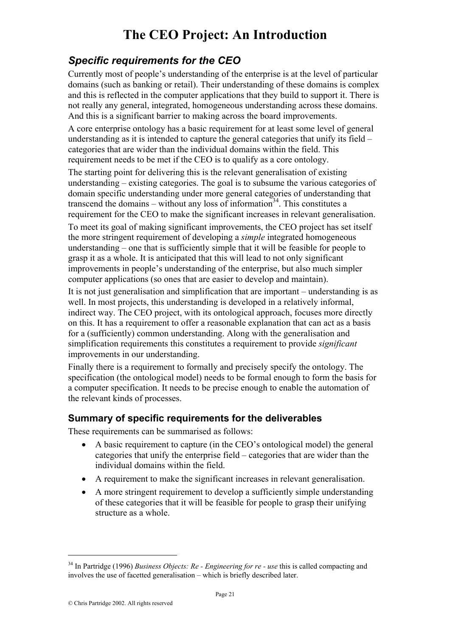## *Specific requirements for the CEO*

Currently most of people's understanding of the enterprise is at the level of particular domains (such as banking or retail). Their understanding of these domains is complex and this is reflected in the computer applications that they build to support it. There is not really any general, integrated, homogeneous understanding across these domains. And this is a significant barrier to making across the board improvements.

A core enterprise ontology has a basic requirement for at least some level of general understanding as it is intended to capture the general categories that unify its field – categories that are wider than the individual domains within the field. This requirement needs to be met if the CEO is to qualify as a core ontology.

The starting point for delivering this is the relevant generalisation of existing understanding – existing categories. The goal is to subsume the various categories of domain specific understanding under more general categories of understanding that transcend the domains – without any loss of information<sup>34</sup>. This constitutes a requirement for the CEO to make the significant increases in relevant generalisation.

To meet its goal of making significant improvements, the CEO project has set itself the more stringent requirement of developing a *simple* integrated homogeneous understanding – one that is sufficiently simple that it will be feasible for people to grasp it as a whole. It is anticipated that this will lead to not only significant improvements in people's understanding of the enterprise, but also much simpler computer applications (so ones that are easier to develop and maintain).

It is not just generalisation and simplification that are important – understanding is as well. In most projects, this understanding is developed in a relatively informal, indirect way. The CEO project, with its ontological approach, focuses more directly on this. It has a requirement to offer a reasonable explanation that can act as a basis for a (sufficiently) common understanding. Along with the generalisation and simplification requirements this constitutes a requirement to provide *significant* improvements in our understanding.

Finally there is a requirement to formally and precisely specify the ontology. The specification (the ontological model) needs to be formal enough to form the basis for a computer specification. It needs to be precise enough to enable the automation of the relevant kinds of processes.

#### **Summary of specific requirements for the deliverables**

These requirements can be summarised as follows:

- A basic requirement to capture (in the CEO's ontological model) the general categories that unify the enterprise field – categories that are wider than the individual domains within the field.
- A requirement to make the significant increases in relevant generalisation.
- A more stringent requirement to develop a sufficiently simple understanding of these categories that it will be feasible for people to grasp their unifying structure as a whole.

<sup>34</sup> In Partridge (1996) *Business Objects: Re - Engineering for re - use* this is called compacting and involves the use of facetted generalisation – which is briefly described later.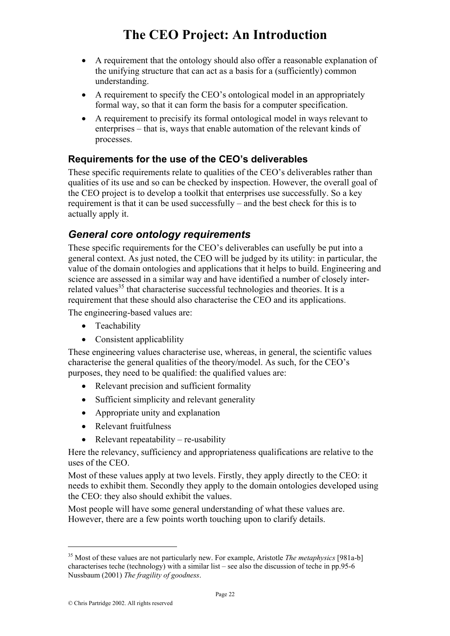- A requirement that the ontology should also offer a reasonable explanation of the unifying structure that can act as a basis for a (sufficiently) common understanding.
- A requirement to specify the CEO's ontological model in an appropriately formal way, so that it can form the basis for a computer specification.
- A requirement to precisify its formal ontological model in ways relevant to enterprises – that is, ways that enable automation of the relevant kinds of processes.

#### **Requirements for the use of the CEO's deliverables**

These specific requirements relate to qualities of the CEO's deliverables rather than qualities of its use and so can be checked by inspection. However, the overall goal of the CEO project is to develop a toolkit that enterprises use successfully. So a key requirement is that it can be used successfully – and the best check for this is to actually apply it.

## *General core ontology requirements*

These specific requirements for the CEO's deliverables can usefully be put into a general context. As just noted, the CEO will be judged by its utility: in particular, the value of the domain ontologies and applications that it helps to build. Engineering and science are assessed in a similar way and have identified a number of closely interrelated values<sup>35</sup> that characterise successful technologies and theories. It is a requirement that these should also characterise the CEO and its applications.

The engineering-based values are:

- Teachability
- Consistent applicablility

These engineering values characterise use, whereas, in general, the scientific values characterise the general qualities of the theory/model. As such, for the CEO's purposes, they need to be qualified: the qualified values are:

- Relevant precision and sufficient formality
- Sufficient simplicity and relevant generality
- Appropriate unity and explanation
- Relevant fruitfulness
- Relevant repeatability re-usability

Here the relevancy, sufficiency and appropriateness qualifications are relative to the uses of the CEO.

Most of these values apply at two levels. Firstly, they apply directly to the CEO: it needs to exhibit them. Secondly they apply to the domain ontologies developed using the CEO: they also should exhibit the values.

Most people will have some general understanding of what these values are. However, there are a few points worth touching upon to clarify details.

<sup>35</sup> Most of these values are not particularly new. For example, Aristotle *The metaphysics* [981a-b] characterises teche (technology) with a similar list – see also the discussion of teche in pp.95-6 Nussbaum (2001) *The fragility of goodness*.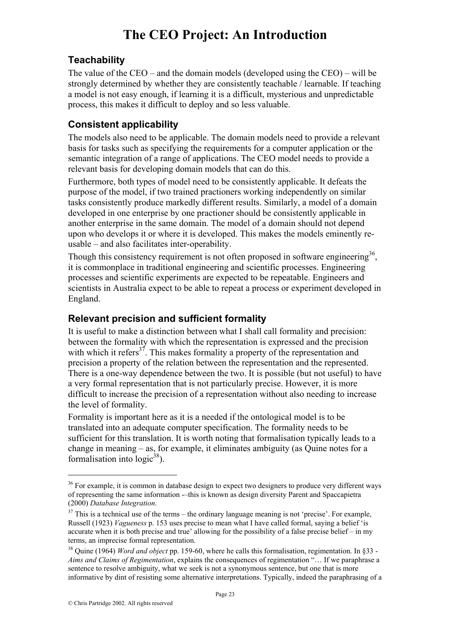#### **Teachability**

The value of the CEO – and the domain models (developed using the CEO) – will be strongly determined by whether they are consistently teachable / learnable. If teaching a model is not easy enough, if learning it is a difficult, mysterious and unpredictable process, this makes it difficult to deploy and so less valuable.

#### **Consistent applicability**

The models also need to be applicable. The domain models need to provide a relevant basis for tasks such as specifying the requirements for a computer application or the semantic integration of a range of applications. The CEO model needs to provide a relevant basis for developing domain models that can do this.

Furthermore, both types of model need to be consistently applicable. It defeats the purpose of the model, if two trained practioners working independently on similar tasks consistently produce markedly different results. Similarly, a model of a domain developed in one enterprise by one practioner should be consistently applicable in another enterprise in the same domain. The model of a domain should not depend upon who develops it or where it is developed. This makes the models eminently reusable – and also facilitates inter-operability.

Though this consistency requirement is not often proposed in software engineering<sup>36</sup>, it is commonplace in traditional engineering and scientific processes. Engineering processes and scientific experiments are expected to be repeatable. Engineers and scientists in Australia expect to be able to repeat a process or experiment developed in England.

#### **Relevant precision and sufficient formality**

It is useful to make a distinction between what I shall call formality and precision: between the formality with which the representation is expressed and the precision with which it refers<sup>37</sup>. This makes formality a property of the representation and precision a property of the relation between the representation and the represented. There is a one-way dependence between the two. It is possible (but not useful) to have a very formal representation that is not particularly precise. However, it is more difficult to increase the precision of a representation without also needing to increase the level of formality.

Formality is important here as it is a needed if the ontological model is to be translated into an adequate computer specification. The formality needs to be sufficient for this translation. It is worth noting that formalisation typically leads to a change in meaning – as, for example, it eliminates ambiguity (as Quine notes for a formalisation into  $logic^{38}$ ).

<sup>&</sup>lt;sup>36</sup> For example, it is common in database design to expect two designers to produce very different ways of representing the same information -–this is known as design diversity Parent and Spaccapietra (2000) *Database Integration*. 37 This is a technical use of the terms – the ordinary language meaning is not 'precise'. For example,

Russell (1923) *Vagueness* p. 153 uses precise to mean what I have called formal, saying a belief 'is accurate when it is both precise and true' allowing for the possibility of a false precise belief – in my terms, an imprecise formal representation.

<sup>38</sup> Quine (1964) *Word and object* pp. 159-60, where he calls this formalisation, regimentation. In §33 - *Aims and Claims of Regimentation*, explains the consequences of regimentation "… If we paraphrase a sentence to resolve ambiguity, what we seek is not a synonymous sentence, but one that is more informative by dint of resisting some alternative interpretations. Typically, indeed the paraphrasing of a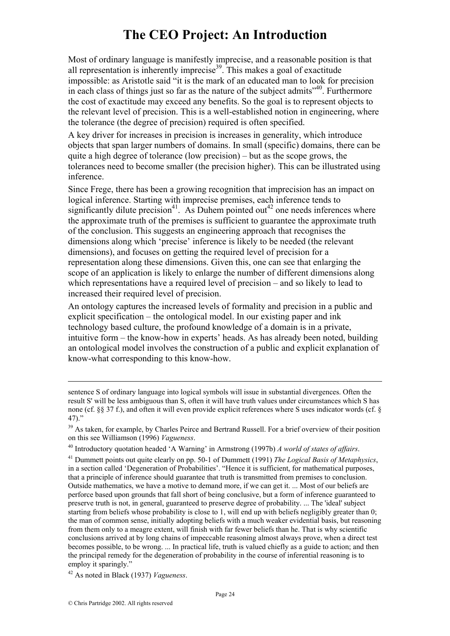Most of ordinary language is manifestly imprecise, and a reasonable position is that all representation is inherently imprecise<sup>39</sup>. This makes a goal of exactitude impossible: as Aristotle said "it is the mark of an educated man to look for precision in each class of things just so far as the nature of the subject admits $140$ . Furthermore the cost of exactitude may exceed any benefits. So the goal is to represent objects to the relevant level of precision. This is a well-established notion in engineering, where the tolerance (the degree of precision) required is often specified.

A key driver for increases in precision is increases in generality, which introduce objects that span larger numbers of domains. In small (specific) domains, there can be quite a high degree of tolerance (low precision) – but as the scope grows, the tolerances need to become smaller (the precision higher). This can be illustrated using inference.

Since Frege, there has been a growing recognition that imprecision has an impact on logical inference. Starting with imprecise premises, each inference tends to significantly dilute precision<sup>41</sup>. As Duhem pointed out<sup>42</sup> one needs inferences where the approximate truth of the premises is sufficient to guarantee the approximate truth of the conclusion. This suggests an engineering approach that recognises the dimensions along which 'precise' inference is likely to be needed (the relevant dimensions), and focuses on getting the required level of precision for a representation along these dimensions. Given this, one can see that enlarging the scope of an application is likely to enlarge the number of different dimensions along which representations have a required level of precision – and so likely to lead to increased their required level of precision.

An ontology captures the increased levels of formality and precision in a public and explicit specification – the ontological model. In our existing paper and ink technology based culture, the profound knowledge of a domain is in a private, intuitive form – the know-how in experts' heads. As has already been noted, building an ontological model involves the construction of a public and explicit explanation of know-what corresponding to this know-how.

sentence S of ordinary language into logical symbols will issue in substantial divergences. Often the result S' will be less ambiguous than S, often it will have truth values under circumstances which S has none (cf. §§ 37 f.), and often it will even provide explicit references where S uses indicator words (cf. §  $47)$ ."

<sup>&</sup>lt;sup>39</sup> As taken, for example, by Charles Peirce and Bertrand Russell. For a brief overview of their position on this see Williamson (1996) *Vagueness*.

<sup>40</sup> Introductory quotation headed 'A Warning' in Armstrong (1997b) *A world of states of affairs*. 41 Dummett points out quite clearly on pp. 50-1 of Dummett (1991) *The Logical Basis of Metaphysics*,

in a section called 'Degeneration of Probabilities'. "Hence it is sufficient, for mathematical purposes, that a principle of inference should guarantee that truth is transmitted from premises to conclusion. Outside mathematics, we have a motive to demand more, if we can get it. ... Most of our beliefs are perforce based upon grounds that fall short of being conclusive, but a form of inference guaranteed to preserve truth is not, in general, guaranteed to preserve degree of probability. ... The 'ideal' subject starting from beliefs whose probability is close to 1, will end up with beliefs negligibly greater than 0; the man of common sense, initially adopting beliefs with a much weaker evidential basis, but reasoning from them only to a meagre extent, will finish with far fewer beliefs than he. That is why scientific conclusions arrived at by long chains of impeccable reasoning almost always prove, when a direct test becomes possible, to be wrong. ... In practical life, truth is valued chiefly as a guide to action; and then the principal remedy for the degeneration of probability in the course of inferential reasoning is to employ it sparingly."

<sup>42</sup> As noted in Black (1937) *Vagueness*.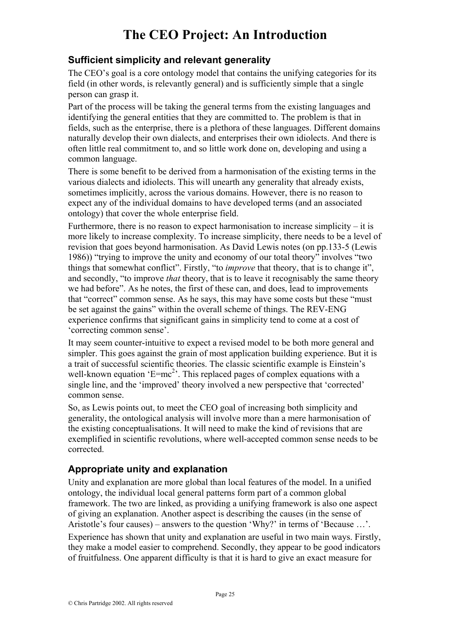#### **Sufficient simplicity and relevant generality**

The CEO's goal is a core ontology model that contains the unifying categories for its field (in other words, is relevantly general) and is sufficiently simple that a single person can grasp it.

Part of the process will be taking the general terms from the existing languages and identifying the general entities that they are committed to. The problem is that in fields, such as the enterprise, there is a plethora of these languages. Different domains naturally develop their own dialects, and enterprises their own idiolects. And there is often little real commitment to, and so little work done on, developing and using a common language.

There is some benefit to be derived from a harmonisation of the existing terms in the various dialects and idiolects. This will unearth any generality that already exists, sometimes implicitly, across the various domains. However, there is no reason to expect any of the individual domains to have developed terms (and an associated ontology) that cover the whole enterprise field.

Furthermore, there is no reason to expect harmonisation to increase simplicity  $-$  it is more likely to increase complexity. To increase simplicity, there needs to be a level of revision that goes beyond harmonisation. As David Lewis notes (on pp.133-5 (Lewis 1986)) "trying to improve the unity and economy of our total theory" involves "two things that somewhat conflict". Firstly, "to *improve* that theory, that is to change it", and secondly, "to improve *that* theory, that is to leave it recognisably the same theory we had before". As he notes, the first of these can, and does, lead to improvements that "correct" common sense. As he says, this may have some costs but these "must be set against the gains" within the overall scheme of things. The REV-ENG experience confirms that significant gains in simplicity tend to come at a cost of 'correcting common sense'.

It may seem counter-intuitive to expect a revised model to be both more general and simpler. This goes against the grain of most application building experience. But it is a trait of successful scientific theories. The classic scientific example is Einstein's well-known equation ' $E=mc^2$ '. This replaced pages of complex equations with a single line, and the 'improved' theory involved a new perspective that 'corrected' common sense.

So, as Lewis points out, to meet the CEO goal of increasing both simplicity and generality, the ontological analysis will involve more than a mere harmonisation of the existing conceptualisations. It will need to make the kind of revisions that are exemplified in scientific revolutions, where well-accepted common sense needs to be corrected.

#### **Appropriate unity and explanation**

Unity and explanation are more global than local features of the model. In a unified ontology, the individual local general patterns form part of a common global framework. The two are linked, as providing a unifying framework is also one aspect of giving an explanation. Another aspect is describing the causes (in the sense of Aristotle's four causes) – answers to the question 'Why?' in terms of 'Because …'. Experience has shown that unity and explanation are useful in two main ways. Firstly, they make a model easier to comprehend. Secondly, they appear to be good indicators of fruitfulness. One apparent difficulty is that it is hard to give an exact measure for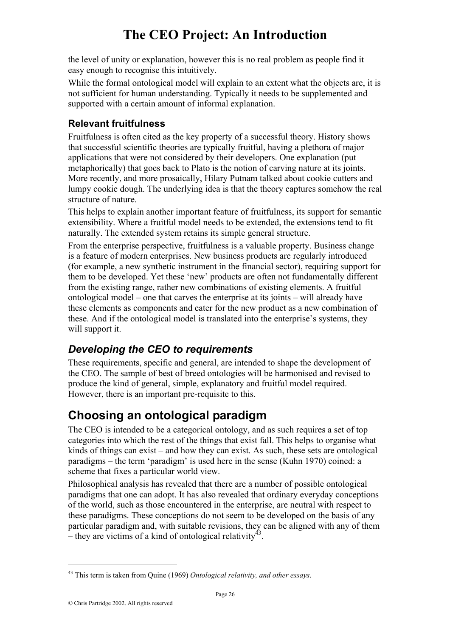the level of unity or explanation, however this is no real problem as people find it easy enough to recognise this intuitively.

While the formal ontological model will explain to an extent what the objects are, it is not sufficient for human understanding. Typically it needs to be supplemented and supported with a certain amount of informal explanation.

#### **Relevant fruitfulness**

Fruitfulness is often cited as the key property of a successful theory. History shows that successful scientific theories are typically fruitful, having a plethora of major applications that were not considered by their developers. One explanation (put metaphorically) that goes back to Plato is the notion of carving nature at its joints. More recently, and more prosaically, Hilary Putnam talked about cookie cutters and lumpy cookie dough. The underlying idea is that the theory captures somehow the real structure of nature.

This helps to explain another important feature of fruitfulness, its support for semantic extensibility. Where a fruitful model needs to be extended, the extensions tend to fit naturally. The extended system retains its simple general structure.

From the enterprise perspective, fruitfulness is a valuable property. Business change is a feature of modern enterprises. New business products are regularly introduced (for example, a new synthetic instrument in the financial sector), requiring support for them to be developed. Yet these 'new' products are often not fundamentally different from the existing range, rather new combinations of existing elements. A fruitful ontological model – one that carves the enterprise at its joints – will already have these elements as components and cater for the new product as a new combination of these. And if the ontological model is translated into the enterprise's systems, they will support it.

## *Developing the CEO to requirements*

These requirements, specific and general, are intended to shape the development of the CEO. The sample of best of breed ontologies will be harmonised and revised to produce the kind of general, simple, explanatory and fruitful model required. However, there is an important pre-requisite to this.

## **Choosing an ontological paradigm**

The CEO is intended to be a categorical ontology, and as such requires a set of top categories into which the rest of the things that exist fall. This helps to organise what kinds of things can exist – and how they can exist. As such, these sets are ontological paradigms – the term 'paradigm' is used here in the sense (Kuhn 1970) coined: a scheme that fixes a particular world view.

Philosophical analysis has revealed that there are a number of possible ontological paradigms that one can adopt. It has also revealed that ordinary everyday conceptions of the world, such as those encountered in the enterprise, are neutral with respect to these paradigms. These conceptions do not seem to be developed on the basis of any particular paradigm and, with suitable revisions, they can be aligned with any of them – they are victims of a kind of ontological relativity<sup>43</sup>.

<sup>43</sup> This term is taken from Quine (1969) *Ontological relativity, and other essays*.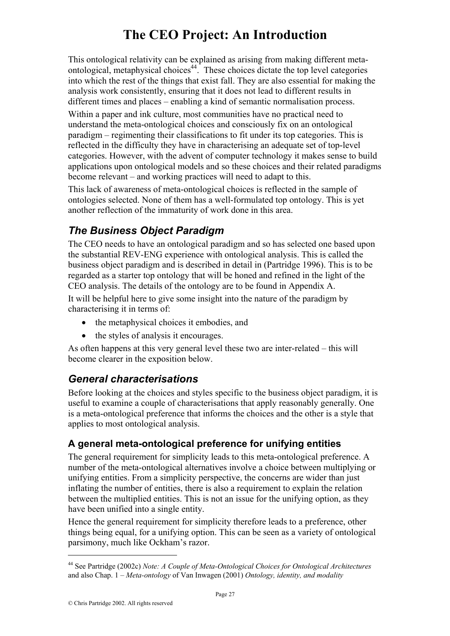This ontological relativity can be explained as arising from making different metaontological, metaphysical choices<sup>44</sup>. These choices dictate the top level categories into which the rest of the things that exist fall. They are also essential for making the analysis work consistently, ensuring that it does not lead to different results in different times and places – enabling a kind of semantic normalisation process.

Within a paper and ink culture, most communities have no practical need to understand the meta-ontological choices and consciously fix on an ontological paradigm – regimenting their classifications to fit under its top categories. This is reflected in the difficulty they have in characterising an adequate set of top-level categories. However, with the advent of computer technology it makes sense to build applications upon ontological models and so these choices and their related paradigms become relevant – and working practices will need to adapt to this.

This lack of awareness of meta-ontological choices is reflected in the sample of ontologies selected. None of them has a well-formulated top ontology. This is yet another reflection of the immaturity of work done in this area.

## *The Business Object Paradigm*

The CEO needs to have an ontological paradigm and so has selected one based upon the substantial REV-ENG experience with ontological analysis. This is called the business object paradigm and is described in detail in (Partridge 1996). This is to be regarded as a starter top ontology that will be honed and refined in the light of the CEO analysis. The details of the ontology are to be found in Appendix A.

It will be helpful here to give some insight into the nature of the paradigm by characterising it in terms of:

- the metaphysical choices it embodies, and
- the styles of analysis it encourages.

As often happens at this very general level these two are inter-related – this will become clearer in the exposition below.

### *General characterisations*

Before looking at the choices and styles specific to the business object paradigm, it is useful to examine a couple of characterisations that apply reasonably generally. One is a meta-ontological preference that informs the choices and the other is a style that applies to most ontological analysis.

### **A general meta-ontological preference for unifying entities**

The general requirement for simplicity leads to this meta-ontological preference. A number of the meta-ontological alternatives involve a choice between multiplying or unifying entities. From a simplicity perspective, the concerns are wider than just inflating the number of entities, there is also a requirement to explain the relation between the multiplied entities. This is not an issue for the unifying option, as they have been unified into a single entity.

Hence the general requirement for simplicity therefore leads to a preference, other things being equal, for a unifying option. This can be seen as a variety of ontological parsimony, much like Ockham's razor.

<sup>44</sup> See Partridge (2002c) *Note: A Couple of Meta-Ontological Choices for Ontological Architectures* and also Chap. 1 – *Meta-ontology* of Van Inwagen (2001) *Ontology, identity, and modality*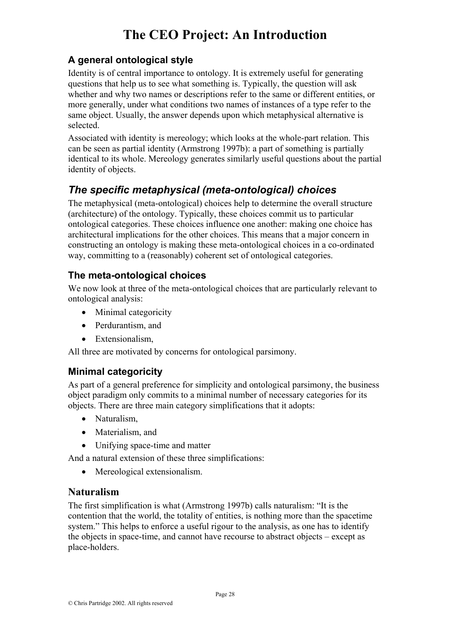#### **A general ontological style**

Identity is of central importance to ontology. It is extremely useful for generating questions that help us to see what something is. Typically, the question will ask whether and why two names or descriptions refer to the same or different entities, or more generally, under what conditions two names of instances of a type refer to the same object. Usually, the answer depends upon which metaphysical alternative is selected.

Associated with identity is mereology; which looks at the whole-part relation. This can be seen as partial identity (Armstrong 1997b): a part of something is partially identical to its whole. Mereology generates similarly useful questions about the partial identity of objects.

## *The specific metaphysical (meta-ontological) choices*

The metaphysical (meta-ontological) choices help to determine the overall structure (architecture) of the ontology. Typically, these choices commit us to particular ontological categories. These choices influence one another: making one choice has architectural implications for the other choices. This means that a major concern in constructing an ontology is making these meta-ontological choices in a co-ordinated way, committing to a (reasonably) coherent set of ontological categories.

#### **The meta-ontological choices**

We now look at three of the meta-ontological choices that are particularly relevant to ontological analysis:

- Minimal categoricity
- Perdurantism, and
- Extensionalism.

All three are motivated by concerns for ontological parsimony.

#### **Minimal categoricity**

As part of a general preference for simplicity and ontological parsimony, the business object paradigm only commits to a minimal number of necessary categories for its objects. There are three main category simplifications that it adopts:

- Naturalism.
- Materialism, and
- Unifying space-time and matter

And a natural extension of these three simplifications:

• Mereological extensionalism.

#### **Naturalism**

The first simplification is what (Armstrong 1997b) calls naturalism: "It is the contention that the world, the totality of entities, is nothing more than the spacetime system." This helps to enforce a useful rigour to the analysis, as one has to identify the objects in space-time, and cannot have recourse to abstract objects – except as place-holders.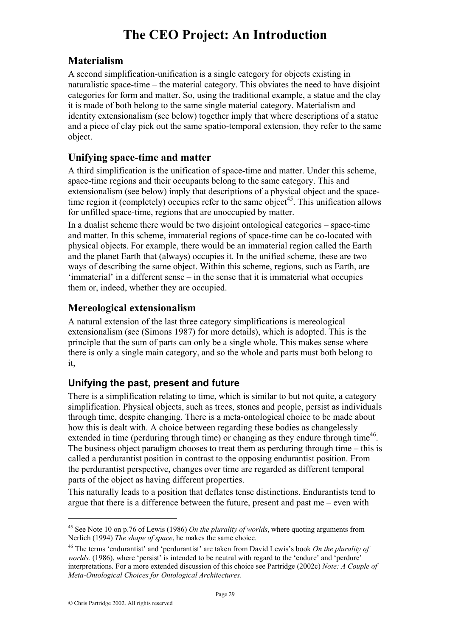#### **Materialism**

A second simplification-unification is a single category for objects existing in naturalistic space-time – the material category. This obviates the need to have disjoint categories for form and matter. So, using the traditional example, a statue and the clay it is made of both belong to the same single material category. Materialism and identity extensionalism (see below) together imply that where descriptions of a statue and a piece of clay pick out the same spatio-temporal extension, they refer to the same object.

#### **Unifying space-time and matter**

A third simplification is the unification of space-time and matter. Under this scheme, space-time regions and their occupants belong to the same category. This and extensionalism (see below) imply that descriptions of a physical object and the spacetime region it (completely) occupies refer to the same object<sup>45</sup>. This unification allows for unfilled space-time, regions that are unoccupied by matter.

In a dualist scheme there would be two disjoint ontological categories – space-time and matter. In this scheme, immaterial regions of space-time can be co-located with physical objects. For example, there would be an immaterial region called the Earth and the planet Earth that (always) occupies it. In the unified scheme, these are two ways of describing the same object. Within this scheme, regions, such as Earth, are 'immaterial' in a different sense – in the sense that it is immaterial what occupies them or, indeed, whether they are occupied.

#### **Mereological extensionalism**

A natural extension of the last three category simplifications is mereological extensionalism (see (Simons 1987) for more details), which is adopted. This is the principle that the sum of parts can only be a single whole. This makes sense where there is only a single main category, and so the whole and parts must both belong to it,

#### **Unifying the past, present and future**

There is a simplification relating to time, which is similar to but not quite, a category simplification. Physical objects, such as trees, stones and people, persist as individuals through time, despite changing. There is a meta-ontological choice to be made about how this is dealt with. A choice between regarding these bodies as changelessly extended in time (perduring through time) or changing as they endure through time<sup>46</sup>. The business object paradigm chooses to treat them as perduring through time – this is called a perdurantist position in contrast to the opposing endurantist position. From the perdurantist perspective, changes over time are regarded as different temporal parts of the object as having different properties.

This naturally leads to a position that deflates tense distinctions. Endurantists tend to argue that there is a difference between the future, present and past me – even with

<sup>45</sup> See Note 10 on p.76 of Lewis (1986) *On the plurality of worlds*, where quoting arguments from Nerlich (1994) *The shape of space*, he makes the same choice.

<sup>46</sup> The terms 'endurantist' and 'perdurantist' are taken from David Lewis's book *On the plurality of worlds.* (1986), where 'persist' is intended to be neutral with regard to the 'endure' and 'perdure' interpretations. For a more extended discussion of this choice see Partridge (2002c) *Note: A Couple of Meta-Ontological Choices for Ontological Architectures*.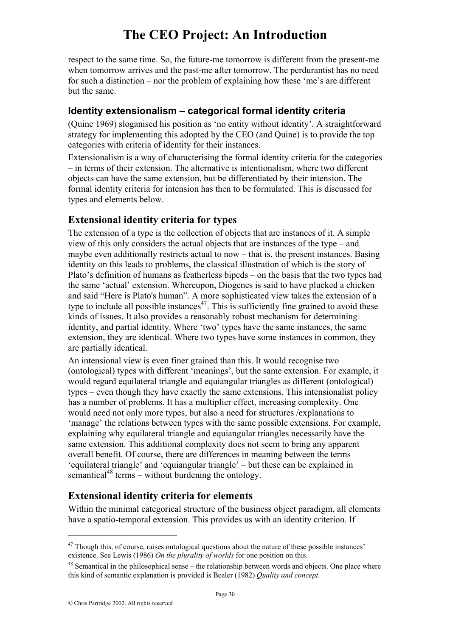respect to the same time. So, the future-me tomorrow is different from the present-me when tomorrow arrives and the past-me after tomorrow. The perdurantist has no need for such a distinction – nor the problem of explaining how these 'me's are different but the same.

#### **Identity extensionalism – categorical formal identity criteria**

(Quine 1969) sloganised his position as 'no entity without identity'. A straightforward strategy for implementing this adopted by the CEO (and Quine) is to provide the top categories with criteria of identity for their instances.

Extensionalism is a way of characterising the formal identity criteria for the categories – in terms of their extension. The alternative is intentionalism, where two different objects can have the same extension, but be differentiated by their intension. The formal identity criteria for intension has then to be formulated. This is discussed for types and elements below.

#### **Extensional identity criteria for types**

The extension of a type is the collection of objects that are instances of it. A simple view of this only considers the actual objects that are instances of the type – and maybe even additionally restricts actual to now – that is, the present instances. Basing identity on this leads to problems, the classical illustration of which is the story of Plato's definition of humans as featherless bipeds – on the basis that the two types had the same 'actual' extension. Whereupon, Diogenes is said to have plucked a chicken and said "Here is Plato's human". A more sophisticated view takes the extension of a type to include all possible instances<sup>47</sup>. This is sufficiently fine grained to avoid these kinds of issues. It also provides a reasonably robust mechanism for determining identity, and partial identity. Where 'two' types have the same instances, the same extension, they are identical. Where two types have some instances in common, they are partially identical.

An intensional view is even finer grained than this. It would recognise two (ontological) types with different 'meanings', but the same extension. For example, it would regard equilateral triangle and equiangular triangles as different (ontological) types – even though they have exactly the same extensions. This intensionalist policy has a number of problems. It has a multiplier effect, increasing complexity. One would need not only more types, but also a need for structures /explanations to 'manage' the relations between types with the same possible extensions. For example, explaining why equilateral triangle and equiangular triangles necessarily have the same extension. This additional complexity does not seem to bring any apparent overall benefit. Of course, there are differences in meaning between the terms 'equilateral triangle' and 'equiangular triangle' – but these can be explained in semantical<sup>48</sup> terms – without burdening the ontology.

### **Extensional identity criteria for elements**

Within the minimal categorical structure of the business object paradigm, all elements have a spatio-temporal extension. This provides us with an identity criterion. If

<sup>&</sup>lt;sup>47</sup> Though this, of course, raises ontological questions about the nature of these possible instances' existence. See Lewis (1986) On the plurality of worlds for one position on this.

<sup>&</sup>lt;sup>48</sup> Semantical in the philosophical sense – the relationship between words and objects. One place where this kind of semantic explanation is provided is Bealer (1982) *Quality and concept*.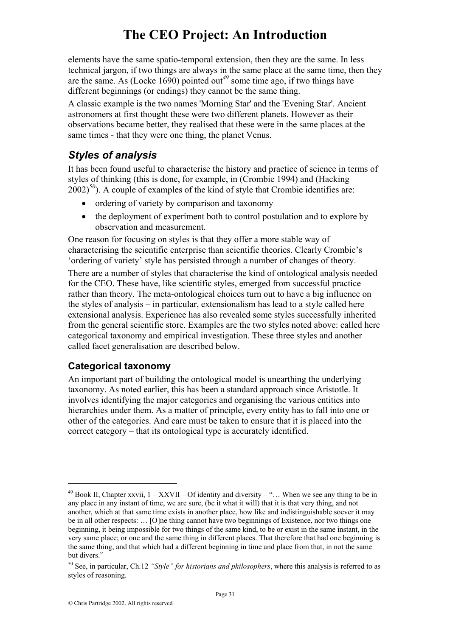elements have the same spatio-temporal extension, then they are the same. In less technical jargon, if two things are always in the same place at the same time, then they are the same. As (Locke 1690) pointed out*<sup>49</sup>* some time ago, if two things have different beginnings (or endings) they cannot be the same thing.

A classic example is the two names 'Morning Star' and the 'Evening Star'. Ancient astronomers at first thought these were two different planets. However as their observations became better, they realised that these were in the same places at the same times - that they were one thing, the planet Venus.

## *Styles of analysis*

It has been found useful to characterise the history and practice of science in terms of styles of thinking (this is done, for example, in (Crombie 1994) and (Hacking  $2002$ <sup>50</sup>). A couple of examples of the kind of style that Crombie identifies are:

- ordering of variety by comparison and taxonomy
- the deployment of experiment both to control postulation and to explore by observation and measurement.

One reason for focusing on styles is that they offer a more stable way of characterising the scientific enterprise than scientific theories. Clearly Crombie's 'ordering of variety' style has persisted through a number of changes of theory.

There are a number of styles that characterise the kind of ontological analysis needed for the CEO. These have, like scientific styles, emerged from successful practice rather than theory. The meta-ontological choices turn out to have a big influence on the styles of analysis – in particular, extensionalism has lead to a style called here extensional analysis. Experience has also revealed some styles successfully inherited from the general scientific store. Examples are the two styles noted above: called here categorical taxonomy and empirical investigation. These three styles and another called facet generalisation are described below.

#### **Categorical taxonomy**

 $\overline{a}$ 

An important part of building the ontological model is unearthing the underlying taxonomy. As noted earlier, this has been a standard approach since Aristotle. It involves identifying the major categories and organising the various entities into hierarchies under them. As a matter of principle, every entity has to fall into one or other of the categories. And care must be taken to ensure that it is placed into the correct category – that its ontological type is accurately identified.

 $49$  Book II, Chapter xxvii,  $1 - XXXVII - Of identity and diversity - \dots$  When we see any thing to be in any place in any instant of time, we are sure, (be it what it will) that it is that very thing, and not another, which at that same time exists in another place, how like and indistinguishable soever it may be in all other respects: … [O]ne thing cannot have two beginnings of Existence, nor two things one beginning, it being impossible for two things of the same kind, to be or exist in the same instant, in the very same place; or one and the same thing in different places. That therefore that had one beginning is the same thing, and that which had a different beginning in time and place from that, in not the same but divers."

<sup>50</sup> See, in particular, Ch.12 *"Style" for historians and philosophers*, where this analysis is referred to as styles of reasoning.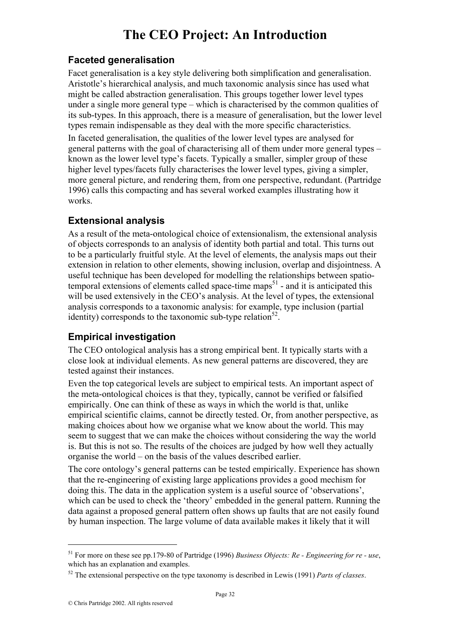#### **Faceted generalisation**

Facet generalisation is a key style delivering both simplification and generalisation. Aristotle's hierarchical analysis, and much taxonomic analysis since has used what might be called abstraction generalisation. This groups together lower level types under a single more general type – which is characterised by the common qualities of its sub-types. In this approach, there is a measure of generalisation, but the lower level types remain indispensable as they deal with the more specific characteristics.

In faceted generalisation, the qualities of the lower level types are analysed for general patterns with the goal of characterising all of them under more general types – known as the lower level type's facets. Typically a smaller, simpler group of these higher level types/facets fully characterises the lower level types, giving a simpler, more general picture, and rendering them, from one perspective, redundant. (Partridge 1996) calls this compacting and has several worked examples illustrating how it works.

#### **Extensional analysis**

As a result of the meta-ontological choice of extensionalism, the extensional analysis of objects corresponds to an analysis of identity both partial and total. This turns out to be a particularly fruitful style. At the level of elements, the analysis maps out their extension in relation to other elements, showing inclusion, overlap and disjointness. A useful technique has been developed for modelling the relationships between spatiotemporal extensions of elements called space-time maps $<sup>51</sup>$  - and it is anticipated this</sup> will be used extensively in the CEO's analysis. At the level of types, the extensional analysis corresponds to a taxonomic analysis: for example, type inclusion (partial identity) corresponds to the taxonomic sub-type relation<sup>52</sup>.

### **Empirical investigation**

The CEO ontological analysis has a strong empirical bent. It typically starts with a close look at individual elements. As new general patterns are discovered, they are tested against their instances.

Even the top categorical levels are subject to empirical tests. An important aspect of the meta-ontological choices is that they, typically, cannot be verified or falsified empirically. One can think of these as ways in which the world is that, unlike empirical scientific claims, cannot be directly tested. Or, from another perspective, as making choices about how we organise what we know about the world. This may seem to suggest that we can make the choices without considering the way the world is. But this is not so. The results of the choices are judged by how well they actually organise the world – on the basis of the values described earlier.

The core ontology's general patterns can be tested empirically. Experience has shown that the re-engineering of existing large applications provides a good mechism for doing this. The data in the application system is a useful source of 'observations', which can be used to check the 'theory' embedded in the general pattern. Running the data against a proposed general pattern often shows up faults that are not easily found by human inspection. The large volume of data available makes it likely that it will

<sup>51</sup> For more on these see pp.179-80 of Partridge (1996) *Business Objects: Re - Engineering for re - use*, which has an explanation and examples.

<sup>52</sup> The extensional perspective on the type taxonomy is described in Lewis (1991) *Parts of classes*.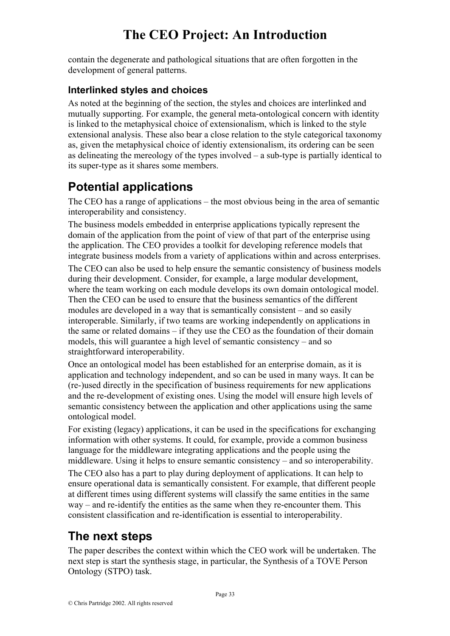contain the degenerate and pathological situations that are often forgotten in the development of general patterns.

#### **Interlinked styles and choices**

As noted at the beginning of the section, the styles and choices are interlinked and mutually supporting. For example, the general meta-ontological concern with identity is linked to the metaphysical choice of extensionalism, which is linked to the style extensional analysis. These also bear a close relation to the style categorical taxonomy as, given the metaphysical choice of identiy extensionalism, its ordering can be seen as delineating the mereology of the types involved – a sub-type is partially identical to its super-type as it shares some members.

## **Potential applications**

The CEO has a range of applications – the most obvious being in the area of semantic interoperability and consistency.

The business models embedded in enterprise applications typically represent the domain of the application from the point of view of that part of the enterprise using the application. The CEO provides a toolkit for developing reference models that integrate business models from a variety of applications within and across enterprises. The CEO can also be used to help ensure the semantic consistency of business models during their development. Consider, for example, a large modular development, where the team working on each module develops its own domain ontological model. Then the CEO can be used to ensure that the business semantics of the different modules are developed in a way that is semantically consistent – and so easily interoperable. Similarly, if two teams are working independently on applications in the same or related domains – if they use the CEO as the foundation of their domain models, this will guarantee a high level of semantic consistency – and so straightforward interoperability.

Once an ontological model has been established for an enterprise domain, as it is application and technology independent, and so can be used in many ways. It can be (re-)used directly in the specification of business requirements for new applications and the re-development of existing ones. Using the model will ensure high levels of semantic consistency between the application and other applications using the same ontological model.

For existing (legacy) applications, it can be used in the specifications for exchanging information with other systems. It could, for example, provide a common business language for the middleware integrating applications and the people using the middleware. Using it helps to ensure semantic consistency – and so interoperability.

The CEO also has a part to play during deployment of applications. It can help to ensure operational data is semantically consistent. For example, that different people at different times using different systems will classify the same entities in the same way – and re-identify the entities as the same when they re-encounter them. This consistent classification and re-identification is essential to interoperability.

## **The next steps**

The paper describes the context within which the CEO work will be undertaken. The next step is start the synthesis stage, in particular, the Synthesis of a TOVE Person Ontology (STPO) task.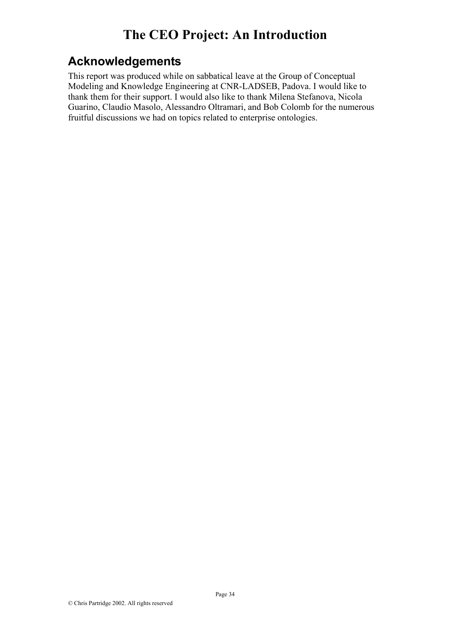## **Acknowledgements**

This report was produced while on sabbatical leave at the Group of Conceptual Modeling and Knowledge Engineering at CNR-LADSEB, Padova. I would like to thank them for their support. I would also like to thank Milena Stefanova, Nicola Guarino, Claudio Masolo, Alessandro Oltramari, and Bob Colomb for the numerous fruitful discussions we had on topics related to enterprise ontologies.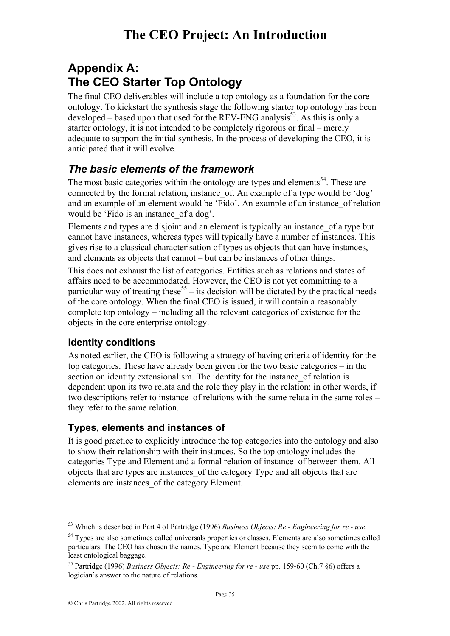# **Appendix A: The CEO Starter Top Ontology**

The final CEO deliverables will include a top ontology as a foundation for the core ontology. To kickstart the synthesis stage the following starter top ontology has been developed – based upon that used for the REV-ENG analysis<sup>53</sup>. As this is only a starter ontology, it is not intended to be completely rigorous or final – merely adequate to support the initial synthesis. In the process of developing the CEO, it is anticipated that it will evolve.

## *The basic elements of the framework*

The most basic categories within the ontology are types and elements<sup>54</sup>. These are connected by the formal relation, instance\_of. An example of a type would be 'dog' and an example of an element would be 'Fido'. An example of an instance of relation would be 'Fido is an instance of a dog'.

Elements and types are disjoint and an element is typically an instance\_of a type but cannot have instances, whereas types will typically have a number of instances. This gives rise to a classical characterisation of types as objects that can have instances, and elements as objects that cannot – but can be instances of other things.

This does not exhaust the list of categories. Entities such as relations and states of affairs need to be accommodated. However, the CEO is not yet committing to a particular way of treating these<sup>55</sup> – its decision will be dictated by the practical needs of the core ontology. When the final CEO is issued, it will contain a reasonably complete top ontology – including all the relevant categories of existence for the objects in the core enterprise ontology.

#### **Identity conditions**

As noted earlier, the CEO is following a strategy of having criteria of identity for the top categories. These have already been given for the two basic categories – in the section on identity extensionalism. The identity for the instance of relation is dependent upon its two relata and the role they play in the relation: in other words, if two descriptions refer to instance of relations with the same relata in the same roles – they refer to the same relation.

#### **Types, elements and instances of**

It is good practice to explicitly introduce the top categories into the ontology and also to show their relationship with their instances. So the top ontology includes the categories Type and Element and a formal relation of instance\_of between them. All objects that are types are instances\_of the category Type and all objects that are elements are instances\_of the category Element.

<sup>&</sup>lt;sup>53</sup> Which is described in Part 4 of Partridge (1996) *Business Objects: Re - Engineering for re - use*.<br><sup>54</sup> Types are also sometimes called universals properties or classes. Elements are also sometimes called

particulars. The CEO has chosen the names, Type and Element because they seem to come with the least ontological baggage.

<sup>55</sup> Partridge (1996) *Business Objects: Re - Engineering for re - use* pp. 159-60 (Ch.7 §6) offers a logician's answer to the nature of relations.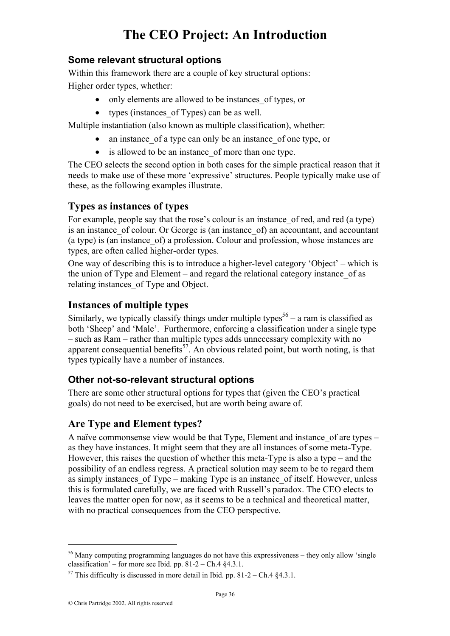#### **Some relevant structural options**

Within this framework there are a couple of key structural options: Higher order types, whether:

- only elements are allowed to be instances of types, or
- types (instances of Types) can be as well.

Multiple instantiation (also known as multiple classification), whether:

- an instance of a type can only be an instance of one type, or
- is allowed to be an instance of more than one type.

The CEO selects the second option in both cases for the simple practical reason that it needs to make use of these more 'expressive' structures. People typically make use of these, as the following examples illustrate.

#### **Types as instances of types**

For example, people say that the rose's colour is an instance\_of red, and red (a type) is an instance of colour. Or George is (an instance of) an accountant, and accountant (a type) is (an instance\_of) a profession. Colour and profession, whose instances are types, are often called higher-order types.

One way of describing this is to introduce a higher-level category 'Object' – which is the union of Type and Element – and regard the relational category instance\_of as relating instances\_of Type and Object.

#### **Instances of multiple types**

Similarly, we typically classify things under multiple types<sup>56</sup> – a ram is classified as both 'Sheep' and 'Male'. Furthermore, enforcing a classification under a single type – such as Ram – rather than multiple types adds unnecessary complexity with no apparent consequential benefits<sup>57</sup>. An obvious related point, but worth noting, is that types typically have a number of instances.

#### **Other not-so-relevant structural options**

There are some other structural options for types that (given the CEO's practical goals) do not need to be exercised, but are worth being aware of.

#### **Are Type and Element types?**

A naïve commonsense view would be that Type, Element and instance of are types – as they have instances. It might seem that they are all instances of some meta-Type. However, this raises the question of whether this meta-Type is also a type – and the possibility of an endless regress. A practical solution may seem to be to regard them as simply instances of Type – making Type is an instance of itself. However, unless this is formulated carefully, we are faced with Russell's paradox. The CEO elects to leaves the matter open for now, as it seems to be a technical and theoretical matter, with no practical consequences from the CEO perspective.

<sup>&</sup>lt;sup>56</sup> Many computing programming languages do not have this expressiveness – they only allow 'single classification' – for more see Ibid. pp.  $81-2$  – Ch.4  $84.3.1$ .

<sup>&</sup>lt;sup>57</sup> This difficulty is discussed in more detail in Ibid. pp. 81-2 – Ch.4  $§$ 4.3.1.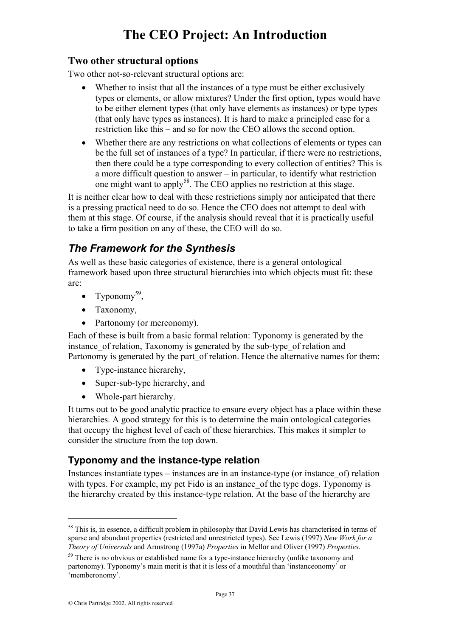#### **Two other structural options**

Two other not-so-relevant structural options are:

- Whether to insist that all the instances of a type must be either exclusively types or elements, or allow mixtures? Under the first option, types would have to be either element types (that only have elements as instances) or type types (that only have types as instances). It is hard to make a principled case for a restriction like this – and so for now the CEO allows the second option.
- Whether there are any restrictions on what collections of elements or types can be the full set of instances of a type? In particular, if there were no restrictions, then there could be a type corresponding to every collection of entities? This is a more difficult question to answer – in particular, to identify what restriction one might want to apply58. The CEO applies no restriction at this stage.

It is neither clear how to deal with these restrictions simply nor anticipated that there is a pressing practical need to do so. Hence the CEO does not attempt to deal with them at this stage. Of course, if the analysis should reveal that it is practically useful to take a firm position on any of these, the CEO will do so.

## *The Framework for the Synthesis*

As well as these basic categories of existence, there is a general ontological framework based upon three structural hierarchies into which objects must fit: these are:

- Typonomy<sup>59</sup>.
- Taxonomy,
- Partonomy (or mereonomy).

Each of these is built from a basic formal relation: Typonomy is generated by the instance of relation. Taxonomy is generated by the sub-type of relation and Partonomy is generated by the part of relation. Hence the alternative names for them:

- Type-instance hierarchy,
- Super-sub-type hierarchy, and
- Whole-part hierarchy.

It turns out to be good analytic practice to ensure every object has a place within these hierarchies. A good strategy for this is to determine the main ontological categories that occupy the highest level of each of these hierarchies. This makes it simpler to consider the structure from the top down.

#### **Typonomy and the instance-type relation**

Instances instantiate types – instances are in an instance-type (or instance\_of) relation with types. For example, my pet Fido is an instance of the type dogs. Typonomy is the hierarchy created by this instance-type relation. At the base of the hierarchy are

<sup>&</sup>lt;sup>58</sup> This is, in essence, a difficult problem in philosophy that David Lewis has characterised in terms of sparse and abundant properties (restricted and unrestricted types). See Lewis (1997) *New Work for a Theory of Universals* and Armstrong (1997a) *Properties* in Mellor and Oliver (1997) *Properties*.

 $59$  There is no obvious or established name for a type-instance hierarchy (unlike taxonomy and partonomy). Typonomy's main merit is that it is less of a mouthful than 'instanceonomy' or 'memberonomy'.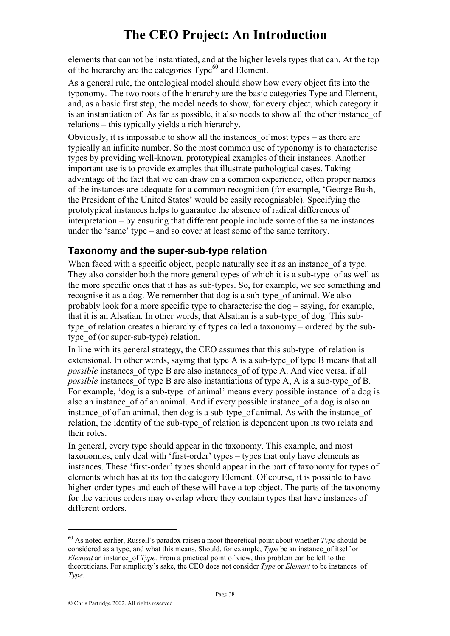elements that cannot be instantiated, and at the higher levels types that can. At the top of the hierarchy are the categories  $Type<sup>60</sup>$  and Element.

As a general rule, the ontological model should show how every object fits into the typonomy. The two roots of the hierarchy are the basic categories Type and Element, and, as a basic first step, the model needs to show, for every object, which category it is an instantiation of. As far as possible, it also needs to show all the other instance\_of relations – this typically yields a rich hierarchy.

Obviously, it is impossible to show all the instances\_of most types – as there are typically an infinite number. So the most common use of typonomy is to characterise types by providing well-known, prototypical examples of their instances. Another important use is to provide examples that illustrate pathological cases. Taking advantage of the fact that we can draw on a common experience, often proper names of the instances are adequate for a common recognition (for example, 'George Bush, the President of the United States' would be easily recognisable). Specifying the prototypical instances helps to guarantee the absence of radical differences of interpretation – by ensuring that different people include some of the same instances under the 'same' type – and so cover at least some of the same territory.

#### **Taxonomy and the super-sub-type relation**

When faced with a specific object, people naturally see it as an instance of a type. They also consider both the more general types of which it is a sub-type\_of as well as the more specific ones that it has as sub-types. So, for example, we see something and recognise it as a dog. We remember that dog is a sub-type\_of animal. We also probably look for a more specific type to characterise the dog – saying, for example, that it is an Alsatian. In other words, that Alsatian is a sub-type\_of dog. This subtype of relation creates a hierarchy of types called a taxonomy – ordered by the subtype of (or super-sub-type) relation.

In line with its general strategy, the CEO assumes that this sub-type\_of relation is extensional. In other words, saying that type A is a sub-type of type B means that all *possible* instances of type B are also instances of of type A. And vice versa, if all *possible* instances of type B are also instantiations of type A, A is a sub-type of B. For example, 'dog is a sub-type of animal' means every possible instance of a dog is also an instance\_of of an animal. And if every possible instance\_of a dog is also an instance of of an animal, then dog is a sub-type of animal. As with the instance of relation, the identity of the sub-type of relation is dependent upon its two relata and their roles.

In general, every type should appear in the taxonomy. This example, and most taxonomies, only deal with 'first-order' types – types that only have elements as instances. These 'first-order' types should appear in the part of taxonomy for types of elements which has at its top the category Element. Of course, it is possible to have higher-order types and each of these will have a top object. The parts of the taxonomy for the various orders may overlap where they contain types that have instances of different orders.

<sup>60</sup> As noted earlier, Russell's paradox raises a moot theoretical point about whether *Type* should be considered as a type, and what this means. Should, for example, *Type* be an instance of itself or *Element* an instance of *Type*. From a practical point of view, this problem can be left to the theoreticians. For simplicity's sake, the CEO does not consider *Type* or *Element* to be instances\_of *Type*.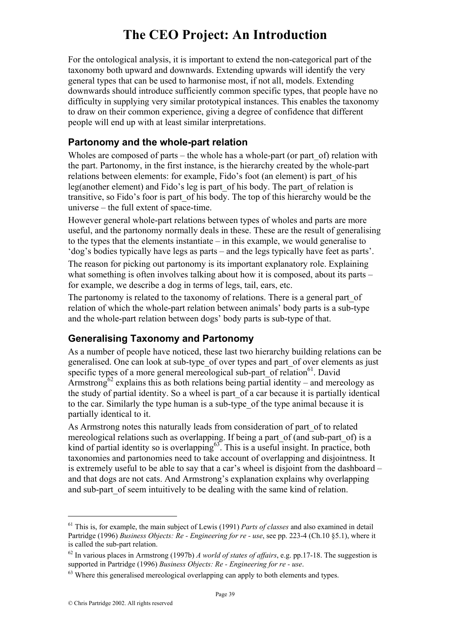For the ontological analysis, it is important to extend the non-categorical part of the taxonomy both upward and downwards. Extending upwards will identify the very general types that can be used to harmonise most, if not all, models. Extending downwards should introduce sufficiently common specific types, that people have no difficulty in supplying very similar prototypical instances. This enables the taxonomy to draw on their common experience, giving a degree of confidence that different people will end up with at least similar interpretations.

#### **Partonomy and the whole-part relation**

Wholes are composed of parts – the whole has a whole-part (or part  $of$ ) relation with the part. Partonomy, in the first instance, is the hierarchy created by the whole-part relations between elements: for example, Fido's foot (an element) is part\_of his leg(another element) and Fido's leg is part\_of his body. The part\_of relation is transitive, so Fido's foor is part\_of his body. The top of this hierarchy would be the universe – the full extent of space-time.

However general whole-part relations between types of wholes and parts are more useful, and the partonomy normally deals in these. These are the result of generalising to the types that the elements instantiate – in this example, we would generalise to 'dog's bodies typically have legs as parts – and the legs typically have feet as parts'.

The reason for picking out partonomy is its important explanatory role. Explaining what something is often involves talking about how it is composed, about its parts – for example, we describe a dog in terms of legs, tail, ears, etc.

The partonomy is related to the taxonomy of relations. There is a general part of relation of which the whole-part relation between animals' body parts is a sub-type and the whole-part relation between dogs' body parts is sub-type of that.

#### **Generalising Taxonomy and Partonomy**

As a number of people have noticed, these last two hierarchy building relations can be generalised. One can look at sub-type\_of over types and part\_of over elements as just specific types of a more general mereological sub-part of relation<sup>61</sup>. David Armstrong<sup>62</sup> explains this as both relations being partial identity – and mereology as the study of partial identity. So a wheel is part\_of a car because it is partially identical to the car. Similarly the type human is a sub-type\_of the type animal because it is partially identical to it.

As Armstrong notes this naturally leads from consideration of part of to related mereological relations such as overlapping. If being a part\_of (and sub-part\_of) is a kind of partial identity so is overlapping $63$ . This is a useful insight. In practice, both taxonomies and partonomies need to take account of overlapping and disjointness. It is extremely useful to be able to say that a car's wheel is disjoint from the dashboard – and that dogs are not cats. And Armstrong's explanation explains why overlapping and sub-part of seem intuitively to be dealing with the same kind of relation.

<sup>61</sup> This is, for example, the main subject of Lewis (1991) *Parts of classes* and also examined in detail Partridge (1996) *Business Objects: Re - Engineering for re - use*, see pp. 223-4 (Ch.10 §5.1), where it is called the sub-part relation.

<sup>62</sup> In various places in Armstrong (1997b) *A world of states of affairs*, e.g. pp.17-18. The suggestion is supported in Partridge (1996) *Business Objects: Re - Engineering for re - use*.

<sup>&</sup>lt;sup>63</sup> Where this generalised mereological overlapping can apply to both elements and types.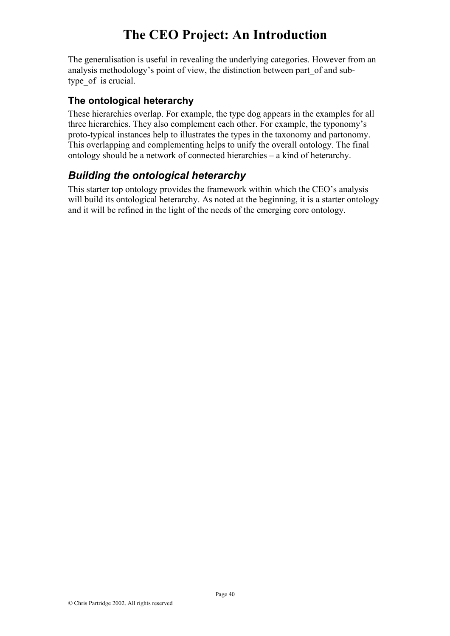The generalisation is useful in revealing the underlying categories. However from an analysis methodology's point of view, the distinction between part\_of and subtype of is crucial.

#### **The ontological heterarchy**

These hierarchies overlap. For example, the type dog appears in the examples for all three hierarchies. They also complement each other. For example, the typonomy's proto-typical instances help to illustrates the types in the taxonomy and partonomy. This overlapping and complementing helps to unify the overall ontology. The final ontology should be a network of connected hierarchies – a kind of heterarchy.

## *Building the ontological heterarchy*

This starter top ontology provides the framework within which the CEO's analysis will build its ontological heterarchy. As noted at the beginning, it is a starter ontology and it will be refined in the light of the needs of the emerging core ontology.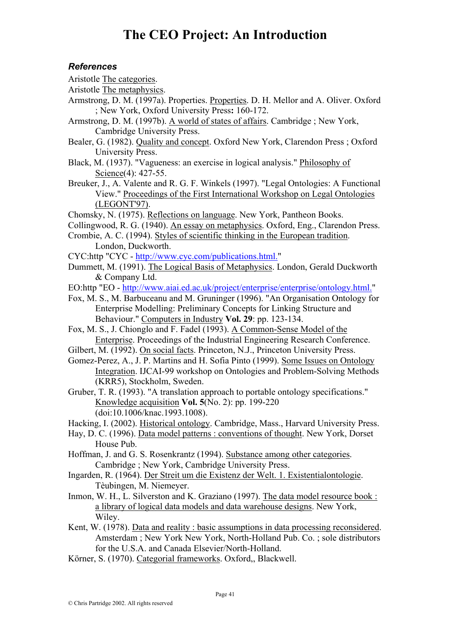#### *References*

- Aristotle The categories.
- Aristotle The metaphysics.
- Armstrong, D. M. (1997a). Properties. Properties. D. H. Mellor and A. Oliver. Oxford ; New York, Oxford University Press**:** 160-172.
- Armstrong, D. M. (1997b). A world of states of affairs. Cambridge ; New York, Cambridge University Press.
- Bealer, G. (1982). Quality and concept. Oxford New York, Clarendon Press ; Oxford University Press.
- Black, M. (1937). "Vagueness: an exercise in logical analysis." Philosophy of Science(4): 427-55.
- Breuker, J., A. Valente and R. G. F. Winkels (1997). "Legal Ontologies: A Functional View." Proceedings of the First International Workshop on Legal Ontologies (LEGONT'97).
- Chomsky, N. (1975). Reflections on language. New York, Pantheon Books.
- Collingwood, R. G. (1940). An essay on metaphysics. Oxford, Eng., Clarendon Press.
- Crombie, A. C. (1994). Styles of scientific thinking in the European tradition. London, Duckworth.
- CYC:http "CYC http://www.cyc.com/publications.html."
- Dummett, M. (1991). The Logical Basis of Metaphysics. London, Gerald Duckworth & Company Ltd.
- EO:http "EO http://www.aiai.ed.ac.uk/project/enterprise/enterprise/ontology.html."
- Fox, M. S., M. Barbuceanu and M. Gruninger (1996). "An Organisation Ontology for Enterprise Modelling: Preliminary Concepts for Linking Structure and Behaviour." Computers in Industry **Vol. 29**: pp. 123-134.
- Fox, M. S., J. Chionglo and F. Fadel (1993). A Common-Sense Model of the Enterprise. Proceedings of the Industrial Engineering Research Conference.
- Gilbert, M. (1992). On social facts. Princeton, N.J., Princeton University Press.
- Gomez-Perez, A., J. P. Martins and H. Sofia Pinto (1999). Some Issues on Ontology Integration. IJCAI-99 workshop on Ontologies and Problem-Solving Methods (KRR5), Stockholm, Sweden.
- Gruber, T. R. (1993). "A translation approach to portable ontology specifications." Knowledge acquisition **Vol. 5**(No. 2): pp. 199-220 (doi:10.1006/knac.1993.1008).
- Hacking, I. (2002). Historical ontology. Cambridge, Mass., Harvard University Press.
- Hay, D. C. (1996). Data model patterns : conventions of thought. New York, Dorset House Pub.
- Hoffman, J. and G. S. Rosenkrantz (1994). Substance among other categories. Cambridge ; New York, Cambridge University Press.
- Ingarden, R. (1964). Der Streit um die Existenz der Welt. 1. Existentialontologie. Tèubingen, M. Niemeyer.
- Inmon, W. H., L. Silverston and K. Graziano (1997). The data model resource book : a library of logical data models and data warehouse designs. New York, Wiley.
- Kent, W. (1978). Data and reality : basic assumptions in data processing reconsidered. Amsterdam ; New York New York, North-Holland Pub. Co. ; sole distributors for the U.S.A. and Canada Elsevier/North-Holland.
- Körner, S. (1970). Categorial frameworks. Oxford,, Blackwell.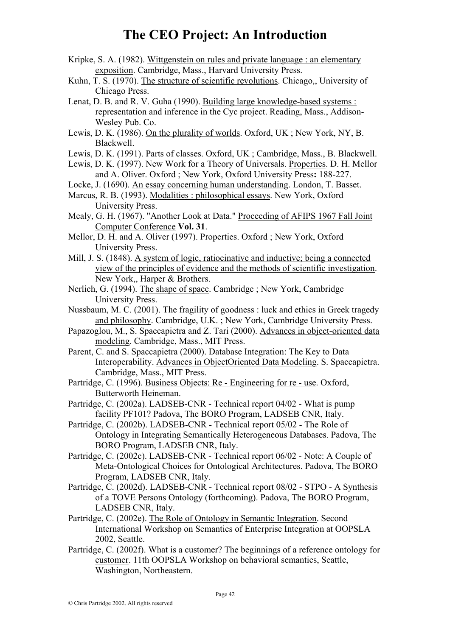- Kripke, S. A. (1982). Wittgenstein on rules and private language : an elementary exposition. Cambridge, Mass., Harvard University Press.
- Kuhn, T. S. (1970). The structure of scientific revolutions. Chicago,, University of Chicago Press.
- Lenat, D. B. and R. V. Guha (1990). Building large knowledge-based systems : representation and inference in the Cyc project. Reading, Mass., Addison-Wesley Pub. Co.
- Lewis, D. K. (1986). On the plurality of worlds. Oxford, UK ; New York, NY, B. Blackwell.
- Lewis, D. K. (1991). Parts of classes. Oxford, UK ; Cambridge, Mass., B. Blackwell.
- Lewis, D. K. (1997). New Work for a Theory of Universals. Properties. D. H. Mellor and A. Oliver. Oxford ; New York, Oxford University Press**:** 188-227.
- Locke, J. (1690). An essay concerning human understanding. London, T. Basset.
- Marcus, R. B. (1993). Modalities : philosophical essays. New York, Oxford University Press.
- Mealy, G. H. (1967). "Another Look at Data." Proceeding of AFIPS 1967 Fall Joint Computer Conference **Vol. 31**.
- Mellor, D. H. and A. Oliver (1997). Properties. Oxford ; New York, Oxford University Press.
- Mill, J. S. (1848). A system of logic, ratiocinative and inductive; being a connected view of the principles of evidence and the methods of scientific investigation. New York., Harper & Brothers.
- Nerlich, G. (1994). The shape of space. Cambridge ; New York, Cambridge University Press.
- Nussbaum, M. C. (2001). The fragility of goodness : luck and ethics in Greek tragedy and philosophy. Cambridge, U.K. ; New York, Cambridge University Press.
- Papazoglou, M., S. Spaccapietra and Z. Tari (2000). Advances in object-oriented data modeling. Cambridge, Mass., MIT Press.
- Parent, C. and S. Spaccapietra (2000). Database Integration: The Key to Data Interoperability. Advances in ObjectOriented Data Modeling. S. Spaccapietra. Cambridge, Mass., MIT Press.
- Partridge, C. (1996). Business Objects: Re Engineering for re use. Oxford, Butterworth Heineman.
- Partridge, C. (2002a). LADSEB-CNR Technical report 04/02 What is pump facility PF101? Padova, The BORO Program, LADSEB CNR, Italy.
- Partridge, C. (2002b). LADSEB-CNR Technical report 05/02 The Role of Ontology in Integrating Semantically Heterogeneous Databases. Padova, The BORO Program, LADSEB CNR, Italy.
- Partridge, C. (2002c). LADSEB-CNR Technical report 06/02 Note: A Couple of Meta-Ontological Choices for Ontological Architectures. Padova, The BORO Program, LADSEB CNR, Italy.
- Partridge, C. (2002d). LADSEB-CNR Technical report 08/02 STPO A Synthesis of a TOVE Persons Ontology (forthcoming). Padova, The BORO Program, LADSEB CNR, Italy.
- Partridge, C. (2002e). The Role of Ontology in Semantic Integration. Second International Workshop on Semantics of Enterprise Integration at OOPSLA 2002, Seattle.
- Partridge, C. (2002f). What is a customer? The beginnings of a reference ontology for customer. 11th OOPSLA Workshop on behavioral semantics, Seattle, Washington, Northeastern.